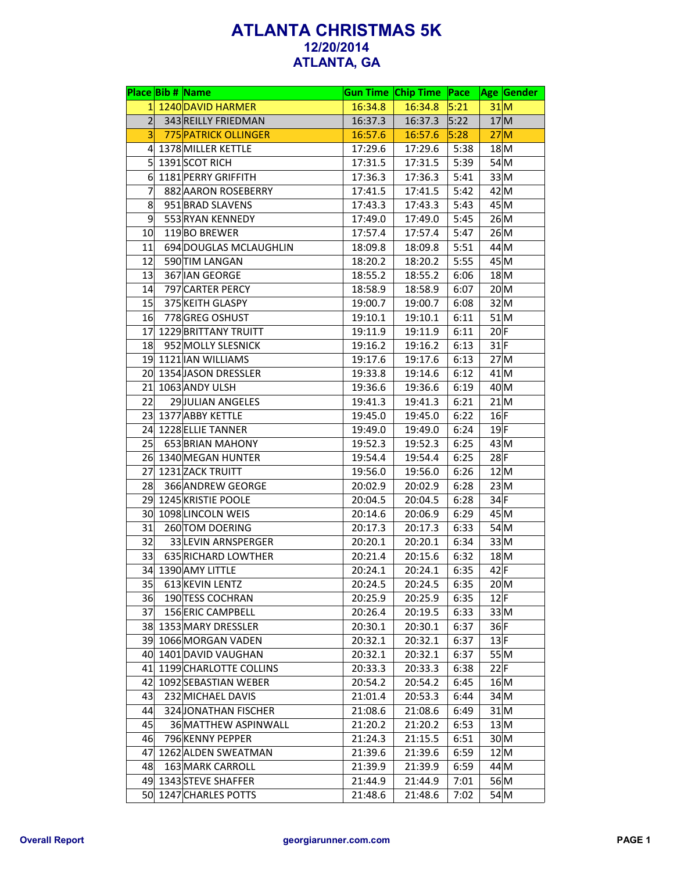|                 | Place Bib # Name          |         | <b>Gun Time Chip Time Pace</b> |      | Age Gender |
|-----------------|---------------------------|---------|--------------------------------|------|------------|
|                 | 1 1240 DAVID HARMER       | 16:34.8 | 16:34.8                        | 5:21 | 31 M       |
| 2               | 343 REILLY FRIEDMAN       | 16:37.3 | 16:37.3                        | 5:22 | 17 M       |
| $\vert 3 \vert$ | 775 PATRICK OLLINGER      | 16:57.6 | 16:57.6                        | 5:28 | 27M        |
|                 | 4 1378 MILLER KETTLE      | 17:29.6 | 17:29.6                        | 5:38 | 18 M       |
|                 | $5$ 1391 SCOT RICH        | 17:31.5 | 17:31.5                        | 5:39 | 54 M       |
|                 | 6 1181 PERRY GRIFFITH     | 17:36.3 | 17:36.3                        | 5:41 | 33 M       |
| 7               | 882 AARON ROSEBERRY       | 17:41.5 | 17:41.5                        | 5:42 | 42 M       |
| 8               | 951 BRAD SLAVENS          | 17:43.3 | 17:43.3                        | 5:43 | 45 M       |
| 9               | 553 RYAN KENNEDY          | 17:49.0 | 17:49.0                        | 5:45 | 26 M       |
| 10              | 119BO BREWER              | 17:57.4 | 17:57.4                        | 5:47 | 26 M       |
| 11              | 694 DOUGLAS MCLAUGHLIN    | 18:09.8 | 18:09.8                        | 5:51 | $44$ M     |
| 12              | 590 TIM LANGAN            | 18:20.2 | 18:20.2                        | 5:55 | 45 M       |
| 13              | 367 IAN GEORGE            | 18:55.2 | 18:55.2                        | 6:06 | 18 M       |
| 14              | 797 CARTER PERCY          | 18:58.9 | 18:58.9                        | 6:07 | 20 M       |
| 15              | 375 KEITH GLASPY          | 19:00.7 | 19:00.7                        | 6:08 | 32 M       |
| 16              | 778 GREG OSHUST           | 19:10.1 | 19:10.1                        | 6:11 | 51 M       |
|                 | 17 1229 BRITTANY TRUITT   | 19:11.9 | 19:11.9                        | 6:11 | $20$ F     |
| 18              | 952 MOLLY SLESNICK        | 19:16.2 | 19:16.2                        | 6:13 | $31$ F     |
|                 | 19 1121 IAN WILLIAMS      | 19:17.6 | 19:17.6                        | 6:13 | 27 M       |
|                 | 20 1354 JASON DRESSLER    | 19:33.8 | 19:14.6                        | 6:12 | $41$ M     |
|                 | 21 1063 ANDY ULSH         | 19:36.6 | 19:36.6                        | 6:19 | $40$ M     |
| 22              | 29 JULIAN ANGELES         | 19:41.3 | 19:41.3                        | 6:21 | 21 M       |
|                 | 23 1377 ABBY KETTLE       | 19:45.0 | 19:45.0                        | 6:22 | $16$ F     |
|                 | 24 1228 ELLIE TANNER      | 19:49.0 | 19:49.0                        | 6:24 | $19$ F     |
| 25              | 653 BRIAN MAHONY          | 19:52.3 | 19:52.3                        | 6:25 | 43 M       |
|                 | 26 1340 MEGAN HUNTER      | 19:54.4 | 19:54.4                        | 6:25 | $28$ F     |
|                 | 27 1231 ZACK TRUITT       | 19:56.0 | 19:56.0                        | 6:26 | 12 M       |
| 28              | 366 ANDREW GEORGE         | 20:02.9 | 20:02.9                        | 6:28 | 23 M       |
|                 | 29 1245 KRISTIE POOLE     | 20:04.5 | 20:04.5                        | 6:28 | $34$ F     |
|                 | 30 1098 LINCOLN WEIS      | 20:14.6 | 20:06.9                        | 6:29 | 45 M       |
| 31              | 260 TOM DOERING           | 20:17.3 | 20:17.3                        | 6:33 | $54$ M     |
| 32              | 33 LEVIN ARNSPERGER       | 20:20.1 | 20:20.1                        | 6:34 | 33 M       |
| 33              | 635 RICHARD LOWTHER       | 20:21.4 | 20:15.6                        | 6:32 | 18 M       |
|                 | 34 1390 AMY LITTLE        | 20:24.1 | 20:24.1                        | 6:35 | $42$ F     |
|                 |                           |         | 20:24.5                        |      |            |
| 35              | 613 KEVIN LENTZ           | 20:24.5 |                                | 6:35 | 20 M       |
| 36              | 190 TESS COCHRAN          | 20:25.9 | 20:25.9                        | 6:35 | $12$ F     |
| 37              | 156 ERIC CAMPBELL         | 20:26.4 | 20:19.5                        | 6:33 | 33 M       |
|                 | 38 1353 MARY DRESSLER     | 20:30.1 | 20:30.1                        | 6:37 | 36F        |
|                 | 39 1066 MORGAN VADEN      | 20:32.1 | 20:32.1                        | 6:37 | $13$ F     |
|                 | 40 1401 DAVID VAUGHAN     | 20:32.1 | 20:32.1                        | 6:37 | 55 M       |
|                 | 41 1199 CHARLOTTE COLLINS | 20:33.3 | 20:33.3                        | 6:38 | 22 F       |
|                 | 42 1092 SEBASTIAN WEBER   | 20:54.2 | 20:54.2                        | 6:45 | 16 M       |
| 43              | 232 MICHAEL DAVIS         | 21:01.4 | 20:53.3                        | 6:44 | $34$ M     |
| 44              | 324 JONATHAN FISCHER      | 21:08.6 | 21:08.6                        | 6:49 | 31 M       |
| 45              | 36 MATTHEW ASPINWALL      | 21:20.2 | 21:20.2                        | 6:53 | 13 M       |
| 46              | 796 KENNY PEPPER          | 21:24.3 | 21:15.5                        | 6:51 | 30 M       |
| 47              | 1262 ALDEN SWEATMAN       | 21:39.6 | 21:39.6                        | 6:59 | 12 M       |
| 48              | 163 MARK CARROLL          | 21:39.9 | 21:39.9                        | 6:59 | 44 M       |
|                 | 49 1343 STEVE SHAFFER     | 21:44.9 | 21:44.9                        | 7:01 | 56 M       |
|                 | 50 1247 CHARLES POTTS     | 21:48.6 | 21:48.6                        | 7:02 | $54$ M     |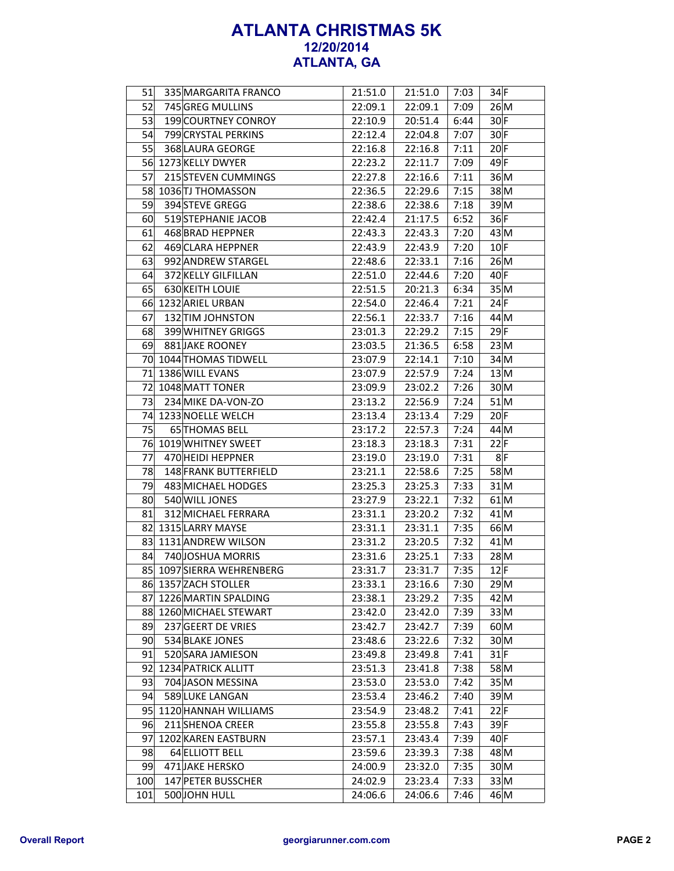| 51              | 335 MARGARITA FRANCO      | 21:51.0 | 21:51.0 | 7:03 | $34$ F |
|-----------------|---------------------------|---------|---------|------|--------|
| 52              | 745 GREG MULLINS          | 22:09.1 | 22:09.1 | 7:09 | 26 M   |
| 53              | 199 COURTNEY CONROY       | 22:10.9 | 20:51.4 | 6:44 | $30$ F |
| 54              | 799 CRYSTAL PERKINS       | 22:12.4 | 22:04.8 | 7:07 | $30$ F |
| 55              | 368 LAURA GEORGE          | 22:16.8 | 22:16.8 | 7:11 | 20 F   |
|                 | 56 1273 KELLY DWYER       | 22:23.2 | 22:11.7 | 7:09 | 49 F   |
| 57              | 215 STEVEN CUMMINGS       | 22:27.8 | 22:16.6 | 7:11 | 36 M   |
| 58              | 1036 TJ THOMASSON         | 22:36.5 | 22:29.6 | 7:15 | $38$ M |
| 59              | 394 STEVE GREGG           | 22:38.6 | 22:38.6 | 7:18 | 39 M   |
| 60              | 519 STEPHANIE JACOB       | 22:42.4 | 21:17.5 | 6:52 | 36 F   |
| 61              | 468 BRAD HEPPNER          | 22:43.3 | 22:43.3 | 7:20 | 43 M   |
| 62              | 469 CLARA HEPPNER         | 22:43.9 | 22:43.9 | 7:20 | 10 F   |
| 63              | 992 ANDREW STARGEL        | 22:48.6 | 22:33.1 | 7:16 | 26 M   |
| 64              | 372 KELLY GILFILLAN       | 22:51.0 | 22:44.6 | 7:20 | $40$ F |
| 65              | 630 KEITH LOUIE           | 22:51.5 | 20:21.3 | 6:34 | 35 M   |
|                 | 66 1232 ARIEL URBAN       | 22:54.0 | 22:46.4 | 7:21 | 24 F   |
| 67              | 132 TIM JOHNSTON          | 22:56.1 | 22:33.7 | 7:16 | 44 M   |
| 68              | 399 WHITNEY GRIGGS        | 23:01.3 | 22:29.2 | 7:15 | $29$ F |
| 69              | 881 JAKE ROONEY           | 23:03.5 | 21:36.5 | 6:58 | 23 M   |
|                 | 70 1044 THOMAS TIDWELL    | 23:07.9 | 22:14.1 | 7:10 | $34$ M |
| 71              | 1386 WILL EVANS           | 23:07.9 | 22:57.9 | 7:24 | 13 M   |
|                 | 72 1048 MATT TONER        | 23:09.9 | 23:02.2 | 7:26 | 30 M   |
| 73              | 234 MIKE DA-VON-ZO        | 23:13.2 | 22:56.9 | 7:24 | 51 M   |
| 74              | 1233 NOELLE WELCH         | 23:13.4 | 23:13.4 | 7:29 | $20$ F |
| 75              | 65 THOMAS BELL            | 23:17.2 | 22:57.3 | 7:24 | 44 M   |
|                 | 76 1019 WHITNEY SWEET     | 23:18.3 | 23:18.3 | 7:31 | 22 F   |
| 77              | 470 HEIDI HEPPNER         | 23:19.0 | 23:19.0 | 7:31 | 8 F    |
| 78              | 148 FRANK BUTTERFIELD     | 23:21.1 | 22:58.6 | 7:25 | 58 M   |
| 79              | 483 MICHAEL HODGES        | 23:25.3 | 23:25.3 | 7:33 | $31$ M |
| 80              | 540 WILL JONES            | 23:27.9 | 23:22.1 | 7:32 | $61$ M |
| 81              | 312 MICHAEL FERRARA       | 23:31.1 | 23:20.2 | 7:32 | $41$ M |
| 82              | 1315 LARRY MAYSE          | 23:31.1 | 23:31.1 | 7:35 | 66M    |
|                 | 83 1131 ANDREW WILSON     | 23:31.2 | 23:20.5 | 7:32 | $41$ M |
| 84              | 740 JOSHUA MORRIS         | 23:31.6 | 23:25.1 | 7:33 | 28 M   |
|                 | 85 1097 SIERRA WEHRENBERG | 23:31.7 | 23:31.7 | 7:35 | $12$ F |
|                 | 86 1357 ZACH STOLLER      | 23:33.1 | 23:16.6 | 7:30 | 29 M   |
|                 | 87 1226 MARTIN SPALDING   | 23:38.1 | 23:29.2 | 7:35 | 42 M   |
|                 | 88 1260 MICHAEL STEWART   | 23:42.0 | 23:42.0 | 7:39 | 33 M   |
| 89              | 237 GEERT DE VRIES        | 23:42.7 | 23:42.7 | 7:39 | 60 M   |
| 90 <sub>0</sub> | 534 BLAKE JONES           | 23:48.6 | 23:22.6 | 7:32 | 30 M   |
| 91              | 520 SARA JAMIESON         | 23:49.8 | 23:49.8 | 7:41 | $31$ F |
|                 | 92 1234 PATRICK ALLITT    | 23:51.3 | 23:41.8 | 7:38 | 58M    |
| 93              | 704 JASON MESSINA         | 23:53.0 | 23:53.0 | 7:42 | 35 M   |
| 94              | 589 LUKE LANGAN           | 23:53.4 | 23:46.2 | 7:40 | 39 M   |
|                 | 95 1120 HANNAH WILLIAMS   | 23:54.9 | 23:48.2 | 7:41 | $22$ F |
| 96              | 211 SHENOA CREER          | 23:55.8 | 23:55.8 | 7:43 | $39$ F |
| 97              | 1202 KAREN EASTBURN       | 23:57.1 | 23:43.4 | 7:39 | $40$ F |
| 98              | 64 ELLIOTT BELL           | 23:59.6 | 23:39.3 | 7:38 | 48 M   |
| 99              | 471 JAKE HERSKO           | 24:00.9 | 23:32.0 | 7:35 | 30 M   |
| 100             | 147 PETER BUSSCHER        | 24:02.9 | 23:23.4 | 7:33 | 33 M   |
| 101             | 500 JOHN HULL             | 24:06.6 | 24:06.6 | 7:46 | 46 M   |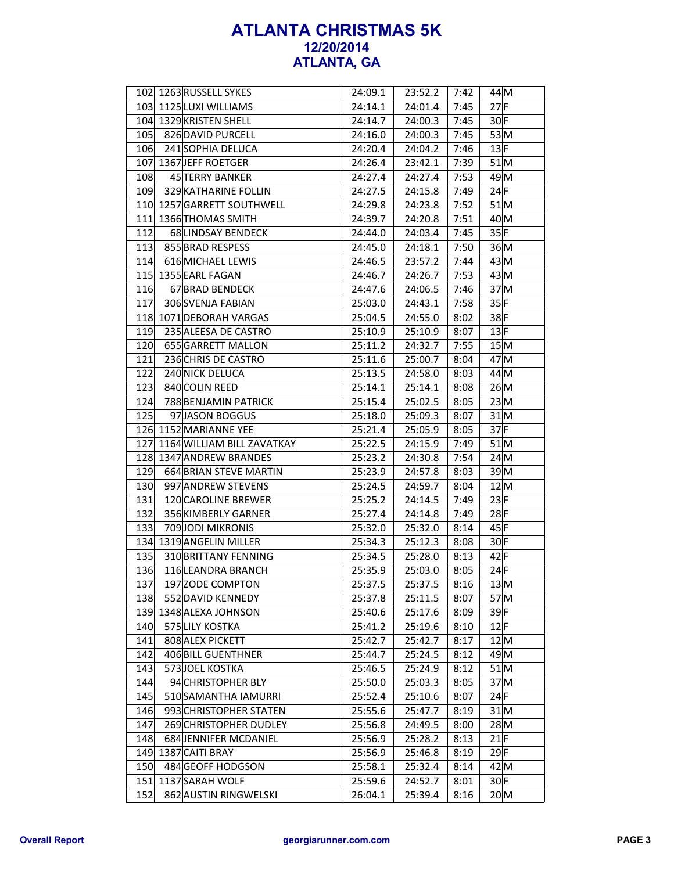|     | 102 1263 RUSSELL SYKES     | 24:09.1 | 23:52.2 | 7:42 | 44 M     |
|-----|----------------------------|---------|---------|------|----------|
|     | 103 1125 LUXI WILLIAMS     | 24:14.1 | 24:01.4 | 7:45 | $27$ F   |
|     | 104 1329 KRISTEN SHELL     | 24:14.7 | 24:00.3 | 7:45 | $30$ F   |
| 105 | 826 DAVID PURCELL          | 24:16.0 | 24:00.3 | 7:45 | 53 M     |
| 106 | 241 SOPHIA DELUCA          | 24:20.4 | 24:04.2 | 7:46 | 13 F     |
|     | 107 1367 JEFF ROETGER      | 24:26.4 | 23:42.1 | 7:39 | $51$ M   |
| 108 | 45 TERRY BANKER            | 24:27.4 | 24:27.4 | 7:53 | 49 M     |
| 109 | 329 KATHARINE FOLLIN       | 24:27.5 | 24:15.8 | 7:49 | 24 F     |
| 110 | 1257 GARRETT SOUTHWELL     | 24:29.8 | 24:23.8 | 7:52 | $51$ $M$ |
| 111 | 1366 THOMAS SMITH          | 24:39.7 | 24:20.8 | 7:51 | 40M      |
| 112 | 68 LINDSAY BENDECK         | 24:44.0 | 24:03.4 | 7:45 | 35 F     |
| 113 | 855 BRAD RESPESS           | 24:45.0 | 24:18.1 | 7:50 | 36 M     |
| 114 | 616 MICHAEL LEWIS          | 24:46.5 | 23:57.2 | 7:44 | 43 M     |
| 115 | 1355 EARL FAGAN            | 24:46.7 | 24:26.7 | 7:53 | 43 M     |
| 116 | 67 BRAD BENDECK            | 24:47.6 | 24:06.5 | 7:46 | 37 M     |
| 117 | 306 SVENJA FABIAN          | 25:03.0 | 24:43.1 | 7:58 | 35 F     |
|     | 118 1071 DEBORAH VARGAS    | 25:04.5 | 24:55.0 | 8:02 | $38$ F   |
| 119 | 235 ALEESA DE CASTRO       | 25:10.9 | 25:10.9 | 8:07 | 13 F     |
| 120 | 655 GARRETT MALLON         | 25:11.2 | 24:32.7 | 7:55 | 15 M     |
| 121 | 236 CHRIS DE CASTRO        | 25:11.6 | 25:00.7 | 8:04 | $47$ M   |
| 122 | 240 NICK DELUCA            | 25:13.5 | 24:58.0 | 8:03 | 44 M     |
| 123 | 840 COLIN REED             | 25:14.1 | 25:14.1 | 8:08 | 26 M     |
| 124 | 788 BENJAMIN PATRICK       | 25:15.4 | 25:02.5 | 8:05 | 23 M     |
| 125 | 97 JASON BOGGUS            | 25:18.0 | 25:09.3 | 8:07 | $31$ $M$ |
|     | 126 1152 MARIANNE YEE      | 25:21.4 | 25:05.9 | 8:05 | $37$ F   |
| 127 | 1164 WILLIAM BILL ZAVATKAY | 25:22.5 | 24:15.9 | 7:49 | $51$ M   |
| 128 | 1347 ANDREW BRANDES        | 25:23.2 | 24:30.8 | 7:54 | 24 M     |
| 129 | 664 BRIAN STEVE MARTIN     | 25:23.9 | 24:57.8 | 8:03 | 39 M     |
| 130 | 997 ANDREW STEVENS         | 25:24.5 | 24:59.7 | 8:04 | 12 M     |
| 131 | 120 CAROLINE BREWER        | 25:25.2 | 24:14.5 | 7:49 | 23 F     |
| 132 | 356 KIMBERLY GARNER        | 25:27.4 | 24:14.8 | 7:49 | 28 F     |
| 133 | 709 JODI MIKRONIS          | 25:32.0 | 25:32.0 | 8:14 | 45 F     |
|     | 134 1319 ANGELIN MILLER    | 25:34.3 | 25:12.3 | 8:08 | $30$ F   |
| 135 | 310 BRITTANY FENNING       | 25:34.5 | 25:28.0 | 8:13 | $42$ F   |
| 136 | 116 LEANDRA BRANCH         | 25:35.9 | 25:03.0 | 8:05 | $24$ F   |
| 137 | 197 ZODE COMPTON           | 25:37.5 | 25:37.5 | 8:16 | 13 M     |
| 138 | 552 DAVID KENNEDY          | 25:37.8 | 25:11.5 | 8:07 | 57M      |
| 139 | 1348 ALEXA JOHNSON         | 25:40.6 | 25:17.6 | 8:09 | 39F      |
| 140 | 575 LILY KOSTKA            | 25:41.2 | 25:19.6 | 8:10 | 12 F     |
| 141 | 808 ALEX PICKETT           | 25:42.7 | 25:42.7 | 8:17 | 12 M     |
| 142 | 406 BILL GUENTHNER         | 25:44.7 | 25:24.5 | 8:12 | 49 M     |
| 143 | 573JOEL KOSTKA             | 25:46.5 | 25:24.9 | 8:12 | 51 M     |
| 144 | 94 CHRISTOPHER BLY         | 25:50.0 | 25:03.3 | 8:05 | 37M      |
| 145 | 510 SAMANTHA IAMURRI       | 25:52.4 | 25:10.6 | 8:07 | $24$ F   |
| 146 | 993 CHRISTOPHER STATEN     | 25:55.6 | 25:47.7 | 8:19 | 31 M     |
| 147 | 269 CHRISTOPHER DUDLEY     | 25:56.8 | 24:49.5 | 8:00 | 28 M     |
| 148 | 684 JENNIFER MCDANIEL      | 25:56.9 | 25:28.2 | 8:13 | 21 F     |
| 149 | 1387 CAITI BRAY            | 25:56.9 | 25:46.8 | 8:19 | 29 F     |
| 150 | 484 GEOFF HODGSON          | 25:58.1 | 25:32.4 | 8:14 | 42 M     |
| 151 | 1137 SARAH WOLF            | 25:59.6 | 24:52.7 | 8:01 | $30$ F   |
| 152 | 862 AUSTIN RINGWELSKI      | 26:04.1 | 25:39.4 | 8:16 | 20 M     |
|     |                            |         |         |      |          |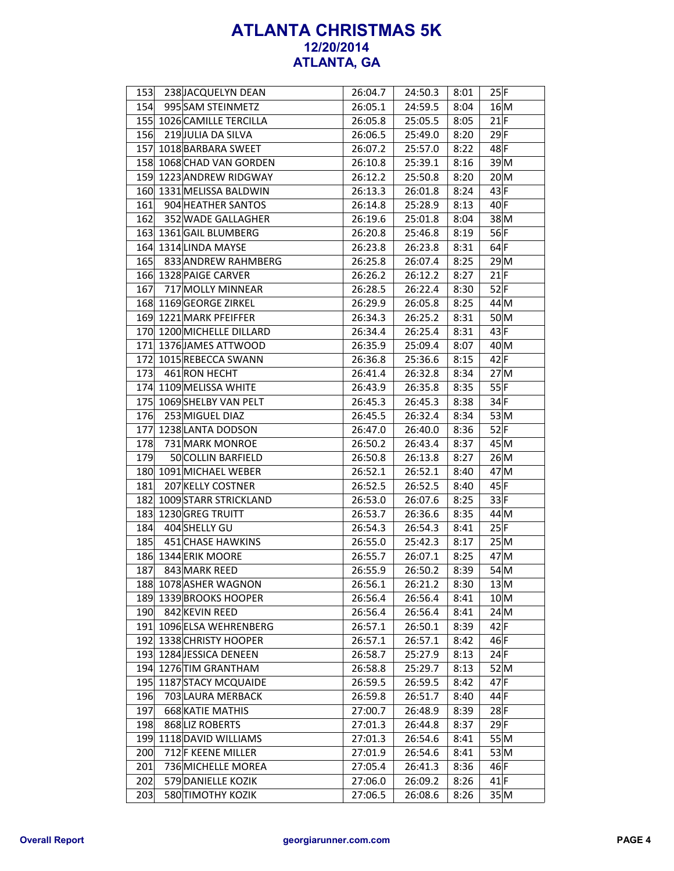| 153 | 238 JACQUELYN DEAN        | 26:04.7 | 24:50.3 | 8:01 | 25 F   |
|-----|---------------------------|---------|---------|------|--------|
| 154 | 995 SAM STEINMETZ         | 26:05.1 | 24:59.5 | 8:04 | 16 M   |
|     | 155 1026 CAMILLE TERCILLA | 26:05.8 | 25:05.5 | 8:05 | $21$ F |
| 156 | 219 JULIA DA SILVA        | 26:06.5 | 25:49.0 | 8:20 | $29$ F |
|     | 157 1018 BARBARA SWEET    | 26:07.2 | 25:57.0 | 8:22 | 48F    |
|     | 158 1068 CHAD VAN GORDEN  | 26:10.8 | 25:39.1 | 8:16 | 39 M   |
|     | 159 1223 ANDREW RIDGWAY   | 26:12.2 | 25:50.8 | 8:20 | 20 M   |
| 160 | 1331 MELISSA BALDWIN      | 26:13.3 | 26:01.8 | 8:24 | 43 F   |
| 161 | 904 HEATHER SANTOS        | 26:14.8 | 25:28.9 | 8:13 | 40 F   |
| 162 | 352 WADE GALLAGHER        | 26:19.6 | 25:01.8 | 8:04 | 38 M   |
|     | 163 1361 GAIL BLUMBERG    | 26:20.8 | 25:46.8 | 8:19 | 56 F   |
|     | 164 1314 LINDA MAYSE      | 26:23.8 | 26:23.8 | 8:31 | $64$ F |
| 165 | 833 ANDREW RAHMBERG       | 26:25.8 | 26:07.4 | 8:25 | 29 M   |
|     | 166 1328 PAIGE CARVER     | 26:26.2 | 26:12.2 | 8:27 | 21 F   |
| 167 | 717 MOLLY MINNEAR         | 26:28.5 | 26:22.4 | 8:30 | $52$ F |
| 168 | 1169 GEORGE ZIRKEL        | 26:29.9 | 26:05.8 | 8:25 | $44$ M |
|     | 169 1221 MARK PFEIFFER    | 26:34.3 | 26:25.2 | 8:31 | 50 M   |
|     | 170 1200 MICHELLE DILLARD | 26:34.4 | 26:25.4 | 8:31 | 43 F   |
|     | 171 1376 JAMES ATTWOOD    | 26:35.9 | 25:09.4 | 8:07 | $40$ M |
|     | 172 1015 REBECCA SWANN    | 26:36.8 | 25:36.6 | 8:15 | $42$ F |
| 173 | 461 RON HECHT             | 26:41.4 | 26:32.8 | 8:34 | 27M    |
|     | 174 1109 MELISSA WHITE    | 26:43.9 | 26:35.8 | 8:35 | 55 F   |
| 175 | 1069 SHELBY VAN PELT      | 26:45.3 | 26:45.3 | 8:38 | 34F    |
| 176 | 253 MIGUEL DIAZ           | 26:45.5 | 26:32.4 | 8:34 | 53 M   |
| 177 | 1238 LANTA DODSON         | 26:47.0 | 26:40.0 | 8:36 | $52$ F |
| 178 | 731 MARK MONROE           | 26:50.2 | 26:43.4 | 8:37 | 45 M   |
| 179 | 50 COLLIN BARFIELD        | 26:50.8 | 26:13.8 | 8:27 | 26 M   |
|     | 180 1091 MICHAEL WEBER    | 26:52.1 | 26:52.1 | 8:40 | 47 M   |
| 181 | 207 KELLY COSTNER         | 26:52.5 | 26:52.5 | 8:40 | 45 F   |
| 182 | 1009 STARR STRICKLAND     | 26:53.0 | 26:07.6 | 8:25 | 33 F   |
| 183 | 1230 GREG TRUITT          | 26:53.7 | 26:36.6 | 8:35 | 44 M   |
| 184 | 404 SHELLY GU             | 26:54.3 | 26:54.3 | 8:41 | 25 F   |
| 185 | 451 CHASE HAWKINS         | 26:55.0 | 25:42.3 | 8:17 | 25 M   |
|     | 186 1344 ERIK MOORE       | 26:55.7 | 26:07.1 | 8:25 | 47 M   |
| 187 | 843 MARK REED             | 26:55.9 | 26:50.2 | 8:39 | 54 M   |
|     | 188 1078 ASHER WAGNON     | 26:56.1 | 26:21.2 | 8:30 | 13 M   |
|     | 189 1339 BROOKS HOOPER    | 26:56.4 | 26:56.4 | 8:41 | 10 M   |
| 190 | 842 KEVIN REED            | 26:56.4 | 26:56.4 | 8:41 | 24 M   |
|     | 191 1096 ELSA WEHRENBERG  | 26:57.1 | 26:50.1 | 8:39 | 42 F   |
| 192 | 1338 CHRISTY HOOPER       | 26:57.1 | 26:57.1 | 8:42 | 46F    |
|     | 193 1284 JESSICA DENEEN   | 26:58.7 | 25:27.9 | 8:13 | 24 F   |
|     | 194 1276 TIM GRANTHAM     | 26:58.8 | 25:29.7 | 8:13 | 52 M   |
| 195 | 1187 STACY MCQUAIDE       | 26:59.5 | 26:59.5 | 8:42 | $47$ F |
| 196 | 703 LAURA MERBACK         | 26:59.8 | 26:51.7 | 8:40 | $44$ F |
| 197 | 668 KATIE MATHIS          | 27:00.7 | 26:48.9 | 8:39 | $28$ F |
| 198 | 868 LIZ ROBERTS           | 27:01.3 | 26:44.8 | 8:37 | $29$ F |
| 199 | 1118 DAVID WILLIAMS       | 27:01.3 | 26:54.6 | 8:41 | 55 M   |
| 200 | 712 F KEENE MILLER        | 27:01.9 | 26:54.6 | 8:41 | 53 M   |
| 201 | 736 MICHELLE MOREA        | 27:05.4 | 26:41.3 | 8:36 | 46 F   |
| 202 | 579 DANIELLE KOZIK        | 27:06.0 | 26:09.2 | 8:26 | $41$ F |
| 203 | 580 TIMOTHY KOZIK         | 27:06.5 | 26:08.6 | 8:26 | 35 M   |
|     |                           |         |         |      |        |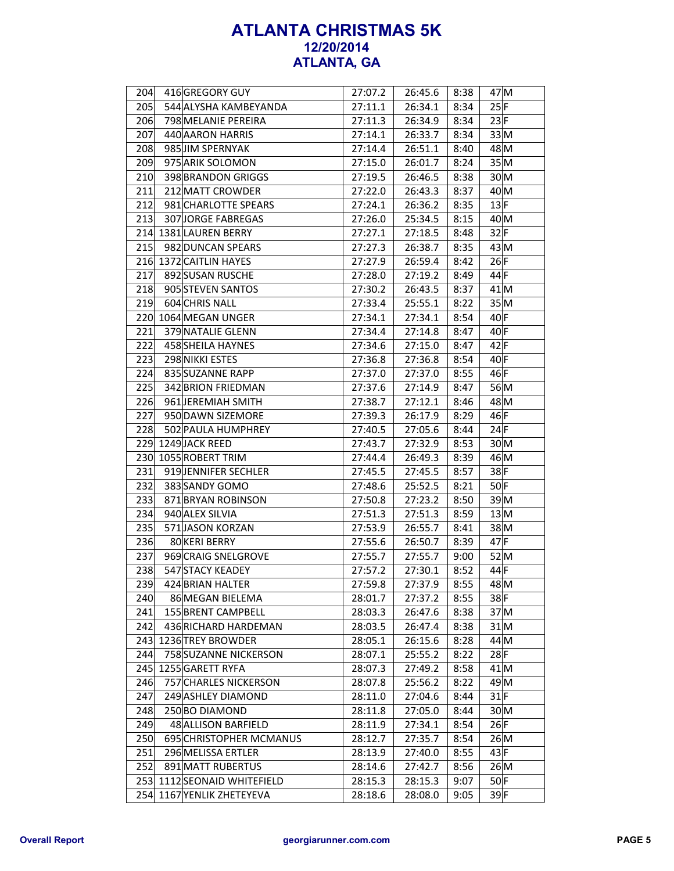| 204 | 416 GREGORY GUY           | 27:07.2 | 26:45.6 | 8:38 | 47 M            |
|-----|---------------------------|---------|---------|------|-----------------|
| 205 | 544 ALYSHA KAMBEYANDA     | 27:11.1 | 26:34.1 | 8:34 | 25 F            |
| 206 | 798 MELANIE PEREIRA       | 27:11.3 | 26:34.9 | 8:34 | 23 F            |
| 207 | 440 AARON HARRIS          | 27:14.1 | 26:33.7 | 8:34 | 33 M            |
| 208 | 985 JIM SPERNYAK          | 27:14.4 | 26:51.1 | 8:40 | 48 M            |
| 209 | 975 ARIK SOLOMON          | 27:15.0 | 26:01.7 | 8:24 | 35 M            |
| 210 | 398 BRANDON GRIGGS        | 27:19.5 | 26:46.5 | 8:38 | 30 M            |
| 211 | 212 MATT CROWDER          | 27:22.0 | 26:43.3 | 8:37 | 40 M            |
| 212 | 981 CHARLOTTE SPEARS      | 27:24.1 | 26:36.2 | 8:35 | 13 F            |
| 213 | 307 JORGE FABREGAS        | 27:26.0 | 25:34.5 | 8:15 | 40 M            |
| 214 | 1381 LAUREN BERRY         | 27:27.1 | 27:18.5 | 8:48 | 32F             |
| 215 | 982 DUNCAN SPEARS         | 27:27.3 | 26:38.7 | 8:35 | 43 M            |
|     | 216 1372 CAITLIN HAYES    | 27:27.9 | 26:59.4 | 8:42 | 26 F            |
| 217 | 892 SUSAN RUSCHE          | 27:28.0 | 27:19.2 | 8:49 | 44 F            |
| 218 | 905 STEVEN SANTOS         | 27:30.2 | 26:43.5 | 8:37 | $41$ M          |
| 219 | 604 CHRIS NALL            | 27:33.4 | 25:55.1 | 8:22 | 35 M            |
|     | 220 1064 MEGAN UNGER      | 27:34.1 | 27:34.1 | 8:54 | 40 F            |
| 221 | 379 NATALIE GLENN         | 27:34.4 | 27:14.8 | 8:47 | $40$ F          |
| 222 | 458 SHEILA HAYNES         | 27:34.6 | 27:15.0 | 8:47 | $42$ F          |
| 223 | 298 NIKKI ESTES           | 27:36.8 | 27:36.8 | 8:54 | $40$ F          |
| 224 | 835 SUZANNE RAPP          | 27:37.0 | 27:37.0 | 8:55 | 46 F            |
| 225 | 342 BRION FRIEDMAN        | 27:37.6 | 27:14.9 | 8:47 | 56 <sub>M</sub> |
| 226 | 961 JEREMIAH SMITH        | 27:38.7 | 27:12.1 | 8:46 | 48 M            |
| 227 | 950 DAWN SIZEMORE         | 27:39.3 | 26:17.9 | 8:29 | 46 F            |
| 228 | 502 PAULA HUMPHREY        | 27:40.5 | 27:05.6 | 8:44 | 24 F            |
| 229 | 1249 JACK REED            | 27:43.7 | 27:32.9 | 8:53 | $30$ M          |
| 230 | 1055 ROBERT TRIM          | 27:44.4 | 26:49.3 | 8:39 | 46 M            |
| 231 | 919 JENNIFER SECHLER      | 27:45.5 | 27:45.5 | 8:57 | 38F             |
| 232 | 383 SANDY GOMO            | 27:48.6 | 25:52.5 | 8:21 | $50$ F          |
| 233 | 871 BRYAN ROBINSON        | 27:50.8 | 27:23.2 | 8:50 | 39 M            |
| 234 | 940 ALEX SILVIA           | 27:51.3 | 27:51.3 | 8:59 | 13 M            |
| 235 | 571 JASON KORZAN          | 27:53.9 | 26:55.7 | 8:41 | 38M             |
| 236 | 80 KERI BERRY             | 27:55.6 | 26:50.7 | 8:39 | $47$ F          |
| 237 | 969 CRAIG SNELGROVE       | 27:55.7 | 27:55.7 | 9:00 | 52 M            |
| 238 | 547 STACY KEADEY          | 27:57.2 | 27:30.1 | 8:52 | 44 F            |
| 239 | 424 BRIAN HALTER          | 27:59.8 | 27:37.9 | 8:55 | 48 M            |
| 240 | 86 MEGAN BIELEMA          | 28:01.7 | 27:37.2 | 8:55 | 38F             |
| 241 | 155 BRENT CAMPBELL        | 28:03.3 | 26:47.6 | 8:38 | 37M             |
| 242 | 436 RICHARD HARDEMAN      | 28:03.5 | 26:47.4 | 8:38 | 31 M            |
| 243 | 1236 TREY BROWDER         | 28:05.1 | 26:15.6 | 8:28 | 44 M            |
| 244 | 758 SUZANNE NICKERSON     | 28:07.1 | 25:55.2 | 8:22 | $28$ F          |
| 245 | 1255 GARETT RYFA          | 28:07.3 | 27:49.2 | 8:58 | 41 M            |
| 246 | 757 CHARLES NICKERSON     | 28:07.8 | 25:56.2 | 8:22 | 49M             |
| 247 | 249 ASHLEY DIAMOND        | 28:11.0 | 27:04.6 | 8:44 | $31$ F          |
| 248 | 250 BO DIAMOND            | 28:11.8 | 27:05.0 | 8:44 | 30 M            |
| 249 | 48 ALLISON BARFIELD       | 28:11.9 | 27:34.1 | 8:54 | 26 F            |
| 250 | 695 CHRISTOPHER MCMANUS   | 28:12.7 | 27:35.7 | 8:54 | 26 M            |
| 251 | 296 MELISSA ERTLER        | 28:13.9 | 27:40.0 | 8:55 | 43 F            |
| 252 | 891 MATT RUBERTUS         | 28:14.6 | 27:42.7 | 8:56 | 26 M            |
| 253 | 1112 SEONAID WHITEFIELD   | 28:15.3 | 28:15.3 | 9:07 | $50$ F          |
|     | 254 1167 YENLIK ZHETEYEVA | 28:18.6 | 28:08.0 | 9:05 | 39F             |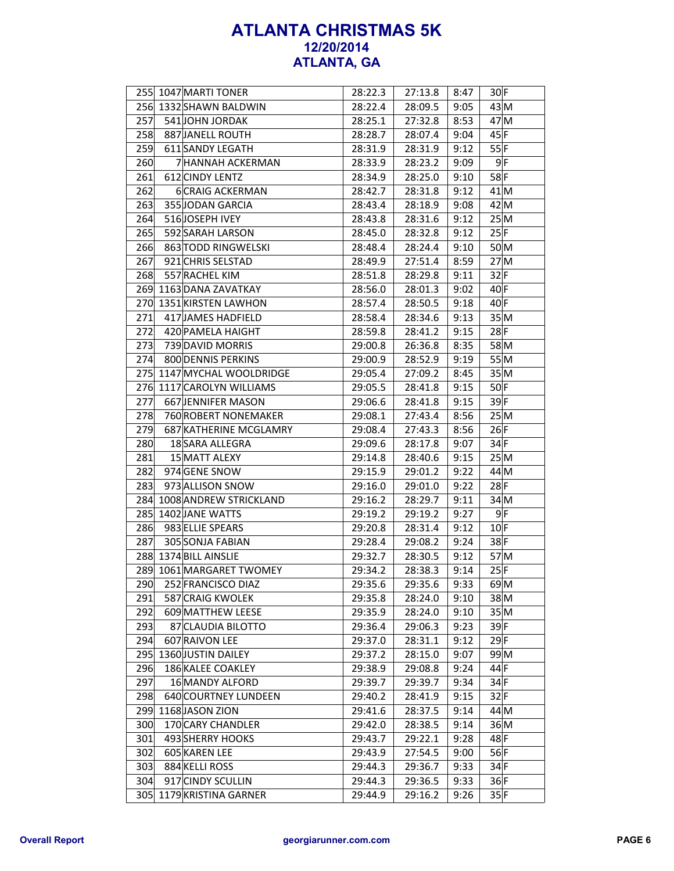|     | 255 1047 MARTI TONER       | 28:22.3 | 27:13.8 | 8:47 | $30$ F          |
|-----|----------------------------|---------|---------|------|-----------------|
|     | 256 1332 SHAWN BALDWIN     | 28:22.4 | 28:09.5 | 9:05 | 43 M            |
| 257 | 541 JOHN JORDAK            | 28:25.1 | 27:32.8 | 8:53 | $47$ M          |
| 258 | 887 JANELL ROUTH           | 28:28.7 | 28:07.4 | 9:04 | 45 F            |
| 259 | 611 SANDY LEGATH           | 28:31.9 | 28:31.9 | 9:12 | 55 F            |
| 260 | <b>7 HANNAH ACKERMAN</b>   | 28:33.9 | 28:23.2 | 9:09 | 9 F             |
| 261 | 612 CINDY LENTZ            | 28:34.9 | 28:25.0 | 9:10 | $58$ F          |
| 262 | <b>6CRAIG ACKERMAN</b>     | 28:42.7 | 28:31.8 | 9:12 | $41$ M          |
| 263 | 355JJODAN GARCIA           | 28:43.4 | 28:18.9 | 9:08 | 42 M            |
| 264 | 516JOSEPH IVEY             | 28:43.8 | 28:31.6 | 9:12 | 25M             |
| 265 | 592 SARAH LARSON           | 28:45.0 | 28:32.8 | 9:12 | 25 F            |
| 266 | 863 TODD RINGWELSKI        | 28:48.4 | 28:24.4 | 9:10 | 50 M            |
| 267 | 921 CHRIS SELSTAD          | 28:49.9 | 27:51.4 | 8:59 | 27M             |
| 268 | 557 RACHEL KIM             | 28:51.8 | 28:29.8 | 9:11 | 32 F            |
| 269 | 1163 DANA ZAVATKAY         | 28:56.0 | 28:01.3 | 9:02 | $40$ F          |
| 270 | 1351 KIRSTEN LAWHON        | 28:57.4 | 28:50.5 | 9:18 | 40 F            |
| 271 | 417 JAMES HADFIELD         | 28:58.4 | 28:34.6 | 9:13 | 35 M            |
| 272 | 420 PAMELA HAIGHT          | 28:59.8 | 28:41.2 | 9:15 | $28$ F          |
| 273 | 739 DAVID MORRIS           | 29:00.8 | 26:36.8 | 8:35 | 58M             |
| 274 | 800 DENNIS PERKINS         | 29:00.9 | 28:52.9 | 9:19 | 55M             |
|     | 275 1147 MYCHAL WOOLDRIDGE | 29:05.4 | 27:09.2 | 8:45 | 35 M            |
| 276 | 1117 CAROLYN WILLIAMS      | 29:05.5 | 28:41.8 | 9:15 | $50$ F          |
| 277 | 667 JENNIFER MASON         | 29:06.6 | 28:41.8 | 9:15 | 39F             |
| 278 | 760 ROBERT NONEMAKER       | 29:08.1 | 27:43.4 | 8:56 | 25 M            |
| 279 | 687 KATHERINE MCGLAMRY     | 29:08.4 | 27:43.3 | 8:56 | 26 F            |
| 280 | 18 SARA ALLEGRA            | 29:09.6 | 28:17.8 | 9:07 | $34$ F          |
| 281 | 15 MATT ALEXY              | 29:14.8 | 28:40.6 | 9:15 | 25 M            |
| 282 | 974 GENE SNOW              | 29:15.9 | 29:01.2 | 9:22 | 44 M            |
| 283 | 973 ALLISON SNOW           | 29:16.0 | 29:01.0 | 9:22 | $28$ F          |
|     | 284 1008 ANDREW STRICKLAND | 29:16.2 | 28:29.7 | 9:11 | 34 M            |
| 285 | 1402 JANE WATTS            | 29:19.2 | 29:19.2 | 9:27 | 9 F             |
| 286 | 983 ELLIE SPEARS           | 29:20.8 | 28:31.4 | 9:12 | 10 F            |
| 287 | 305 SONJA FABIAN           | 29:28.4 | 29:08.2 | 9:24 | 38F             |
|     | 288 1374 BILL AINSLIE      | 29:32.7 | 28:30.5 | 9:12 | 57 <sub>M</sub> |
|     | 289 1061 MARGARET TWOMEY   | 29:34.2 | 28:38.3 | 9:14 | 25 F            |
|     |                            |         |         |      |                 |
| 290 | 252 FRANCISCO DIAZ         | 29:35.6 | 29:35.6 | 9:33 | 69 M            |
| 291 | 587 CRAIG KWOLEK           | 29:35.8 | 28:24.0 | 9:10 | 38 M            |
| 292 | 609 MATTHEW LEESE          | 29:35.9 | 28:24.0 | 9:10 | 35 M            |
| 293 | 87 CLAUDIA BILOTTO         | 29:36.4 | 29:06.3 | 9:23 | 39F             |
| 294 | 607 RAIVON LEE             | 29:37.0 | 28:31.1 | 9:12 | $29$ F          |
| 295 | 1360 JUSTIN DAILEY         | 29:37.2 | 28:15.0 | 9:07 | 99 M            |
| 296 | 186 KALEE COAKLEY          | 29:38.9 | 29:08.8 | 9:24 | 44 F            |
| 297 | 16 MANDY ALFORD            | 29:39.7 | 29:39.7 | 9:34 | $34$ F          |
| 298 | 640 COURTNEY LUNDEEN       | 29:40.2 | 28:41.9 | 9:15 | $32$ F          |
| 299 | 1168 JASON ZION            | 29:41.6 | 28:37.5 | 9:14 | 44 M            |
| 300 | 170 CARY CHANDLER          | 29:42.0 | 28:38.5 | 9:14 | 36 M            |
| 301 | 493 SHERRY HOOKS           | 29:43.7 | 29:22.1 | 9:28 | 48F             |
| 302 | 605 KAREN LEE              | 29:43.9 | 27:54.5 | 9:00 | $56$ F          |
| 303 | 884 KELLI ROSS             | 29:44.3 | 29:36.7 | 9:33 | $34$ F          |
| 304 | 917 CINDY SCULLIN          | 29:44.3 | 29:36.5 | 9:33 | $36$ F          |
|     | 305 1179 KRISTINA GARNER   | 29:44.9 | 29:16.2 | 9:26 | 35 F            |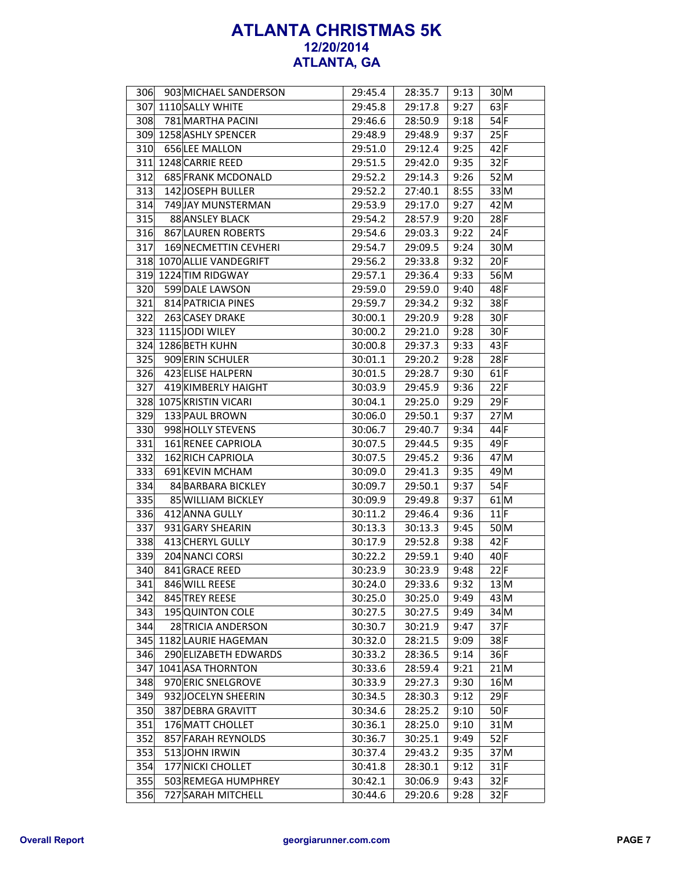| 306 | 903 MICHAEL SANDERSON   | 29:45.4 | 28:35.7 | 9:13 | 30 M   |
|-----|-------------------------|---------|---------|------|--------|
|     | 307 1110 SALLY WHITE    | 29:45.8 | 29:17.8 | 9:27 | $63$ F |
| 308 | 781 MARTHA PACINI       | 29:46.6 | 28:50.9 | 9:18 | 54 F   |
|     | 309 1258 ASHLY SPENCER  | 29:48.9 | 29:48.9 | 9:37 | 25 F   |
| 310 | 656LEE MALLON           | 29:51.0 | 29:12.4 | 9:25 | $42$ F |
| 311 | 1248 CARRIE REED        | 29:51.5 | 29:42.0 | 9:35 | 32 F   |
| 312 | 685 FRANK MCDONALD      | 29:52.2 | 29:14.3 | 9:26 | 52 M   |
| 313 | <b>142JOSEPH BULLER</b> | 29:52.2 | 27:40.1 | 8:55 | 33 M   |
| 314 | 749 JAY MUNSTERMAN      | 29:53.9 | 29:17.0 | 9:27 | 42 M   |
| 315 | 88 ANSLEY BLACK         | 29:54.2 | 28:57.9 | 9:20 | $28$ F |
| 316 | 867 LAUREN ROBERTS      | 29:54.6 | 29:03.3 | 9:22 | 24 F   |
| 317 | 169 NECMETTIN CEVHERI   | 29:54.7 | 29:09.5 | 9:24 | 30 M   |
| 318 | 1070 ALLIE VANDEGRIFT   | 29:56.2 | 29:33.8 | 9:32 | $20$ F |
|     | 319 1224 TIM RIDGWAY    | 29:57.1 | 29:36.4 | 9:33 | 56 M   |
| 320 | 599 DALE LAWSON         | 29:59.0 | 29:59.0 | 9:40 | 48F    |
| 321 | 814 PATRICIA PINES      | 29:59.7 | 29:34.2 | 9:32 | 38 F   |
| 322 | 263 CASEY DRAKE         | 30:00.1 | 29:20.9 | 9:28 | $30$ F |
| 323 | 1115JODI WILEY          | 30:00.2 | 29:21.0 | 9:28 | $30$ F |
|     | 324 1286 BETH KUHN      | 30:00.8 | 29:37.3 | 9:33 | 43 F   |
| 325 | 909 ERIN SCHULER        | 30:01.1 | 29:20.2 | 9:28 | $28$ F |
| 326 | 423 ELISE HALPERN       | 30:01.5 | 29:28.7 | 9:30 | $61$ F |
| 327 | 419 KIMBERLY HAIGHT     | 30:03.9 | 29:45.9 | 9:36 | 22 F   |
| 328 | 1075 KRISTIN VICARI     | 30:04.1 | 29:25.0 | 9:29 | $29$ F |
| 329 | 133 PAUL BROWN          | 30:06.0 | 29:50.1 | 9:37 | 27 M   |
| 330 | 998 HOLLY STEVENS       | 30:06.7 | 29:40.7 | 9:34 | 44 F   |
| 331 | 161 RENEE CAPRIOLA      | 30:07.5 | 29:44.5 | 9:35 | 49 F   |
| 332 | 162 RICH CAPRIOLA       | 30:07.5 | 29:45.2 | 9:36 | 47 M   |
| 333 | 691 KEVIN MCHAM         | 30:09.0 | 29:41.3 | 9:35 | 49 M   |
| 334 | 84 BARBARA BICKLEY      | 30:09.7 | 29:50.1 | 9:37 | 54 F   |
| 335 | 85 WILLIAM BICKLEY      | 30:09.9 | 29:49.8 | 9:37 | $61$ M |
| 336 | 412 ANNA GULLY          | 30:11.2 | 29:46.4 | 9:36 | 11 F   |
| 337 | 931 GARY SHEARIN        | 30:13.3 | 30:13.3 | 9:45 | 50 M   |
| 338 | 413 CHERYL GULLY        | 30:17.9 | 29:52.8 | 9:38 | 42 F   |
| 339 | 204 NANCI CORSI         | 30:22.2 | 29:59.1 | 9:40 | 40F    |
| 340 | 841 GRACE REED          | 30:23.9 | 30:23.9 | 9:48 | 22 F   |
| 341 | 846 WILL REESE          | 30:24.0 | 29:33.6 | 9:32 | 13 M   |
| 342 | 845 TREY REESE          | 30:25.0 | 30:25.0 | 9:49 | 43 M   |
| 343 | 195 QUINTON COLE        | 30:27.5 | 30:27.5 | 9:49 | 34 M   |
| 344 | 28 TRICIA ANDERSON      | 30:30.7 | 30:21.9 | 9:47 | 37 F   |
| 345 | 1182 LAURIE HAGEMAN     | 30:32.0 | 28:21.5 | 9:09 | 38F    |
| 346 | 290 ELIZABETH EDWARDS   | 30:33.2 | 28:36.5 | 9:14 | 36F    |
| 347 | 1041 ASA THORNTON       | 30:33.6 | 28:59.4 | 9:21 | 21 M   |
| 348 | 970 ERIC SNELGROVE      | 30:33.9 | 29:27.3 | 9:30 | 16 M   |
| 349 | 932 JOCELYN SHEERIN     | 30:34.5 | 28:30.3 | 9:12 | $29$ F |
| 350 | 387 DEBRA GRAVITT       | 30:34.6 | 28:25.2 | 9:10 | $50$ F |
| 351 | 176 MATT CHOLLET        | 30:36.1 | 28:25.0 | 9:10 | 31 M   |
| 352 | 857 FARAH REYNOLDS      | 30:36.7 | 30:25.1 | 9:49 | 52 F   |
| 353 | 513JOHN IRWIN           | 30:37.4 | 29:43.2 | 9:35 | 37 M   |
| 354 | 177 NICKI CHOLLET       | 30:41.8 | 28:30.1 | 9:12 | $31$ F |
| 355 | 503 REMEGA HUMPHREY     | 30:42.1 | 30:06.9 | 9:43 | $32$ F |
| 356 | 727 SARAH MITCHELL      | 30:44.6 | 29:20.6 | 9:28 | 32 F   |
|     |                         |         |         |      |        |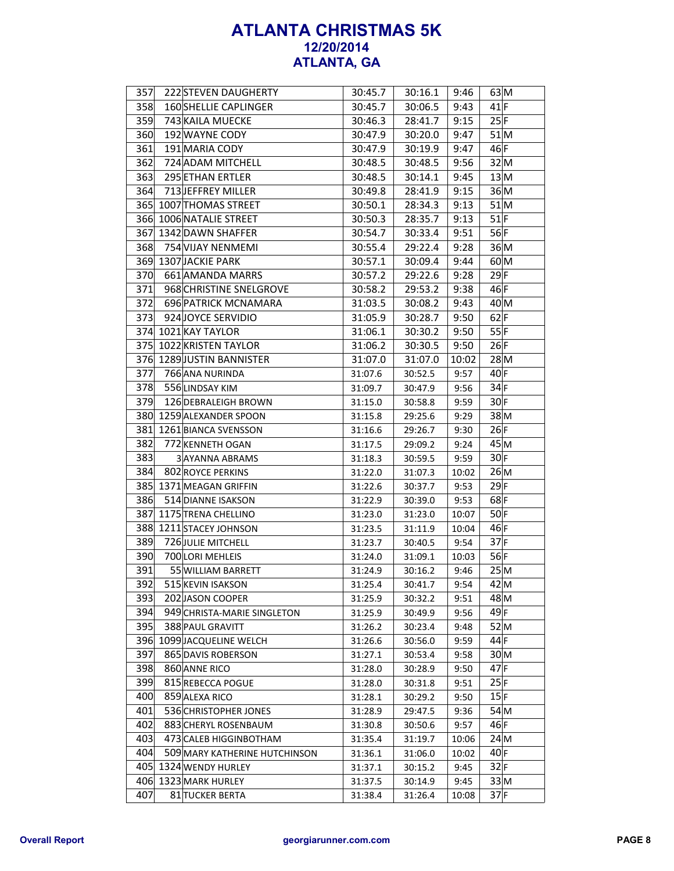| 357 | <b>222 STEVEN DAUGHERTY</b>   | 30:45.7            | 30:16.1 | 9:46         | $63$ M      |
|-----|-------------------------------|--------------------|---------|--------------|-------------|
| 358 | <b>160 SHELLIE CAPLINGER</b>  | 30:45.7            | 30:06.5 | 9:43         | $41$ F      |
| 359 | 743 KAILA MUECKE              | 30:46.3            | 28:41.7 | 9:15         | 25 F        |
| 360 | 192 WAYNE CODY                | 30:47.9            | 30:20.0 | 9:47         | 51M         |
| 361 | 191 MARIA CODY                | 30:47.9            | 30:19.9 | 9:47         | 46F         |
| 362 | 724 ADAM MITCHELL             | 30:48.5            | 30:48.5 | 9:56         | 32 M        |
| 363 | 295 ETHAN ERTLER              |                    |         |              | 13 M        |
| 364 | 713 JEFFREY MILLER            | 30:48.5<br>30:49.8 | 30:14.1 | 9:45<br>9:15 | 36 M        |
| 365 |                               |                    | 28:41.9 |              | 51 M        |
|     | 1007 THOMAS STREET            | 30:50.1            | 28:34.3 | 9:13         |             |
| 366 | 1006 NATALIE STREET           | 30:50.3            | 28:35.7 | 9:13         | $51$ F      |
| 367 | 1342 DAWN SHAFFER             | 30:54.7            | 30:33.4 | 9:51         | 56F         |
| 368 | 754 VIJAY NENMEMI             | 30:55.4            | 29:22.4 | 9:28         | 36 M        |
|     | 369 1307 JACKIE PARK          | 30:57.1            | 30:09.4 | 9:44         | 60 M        |
| 370 | 661 AMANDA MARRS              | 30:57.2            | 29:22.6 | 9:28         | $29$ F      |
| 371 | 968 CHRISTINE SNELGROVE       | 30:58.2            | 29:53.2 | 9:38         | 46 F        |
| 372 | 696 PATRICK MCNAMARA          | 31:03.5            | 30:08.2 | 9:43         | 40 M        |
| 373 | 924 JOYCE SERVIDIO            | 31:05.9            | 30:28.7 | 9:50         | $62$ F      |
|     | 374 1021 KAY TAYLOR           | 31:06.1            | 30:30.2 | 9:50         | 55 F        |
| 375 | 1022 KRISTEN TAYLOR           | 31:06.2            | 30:30.5 | 9:50         | 26 F        |
|     | 376 1289 JUSTIN BANNISTER     | 31:07.0            | 31:07.0 | 10:02        | 28 M        |
| 377 | 766 ANA NURINDA               | 31:07.6            | 30:52.5 | 9:57         | 40 F        |
| 378 | 556 LINDSAY KIM               | 31:09.7            | 30:47.9 | 9:56         | 34 F        |
| 379 | 126 DEBRALEIGH BROWN          | 31:15.0            | 30:58.8 | 9:59         | $30$ F      |
| 380 | 1259 ALEXANDER SPOON          | 31:15.8            | 29:25.6 | 9:29         | 38 M        |
| 381 | 1261 BIANCA SVENSSON          | 31:16.6            | 29:26.7 | 9:30         | 26 F        |
| 382 | 772 KENNETH OGAN              | 31:17.5            | 29:09.2 | 9:24         | 45 M        |
| 383 | 3 AYANNA ABRAMS               | 31:18.3            | 30:59.5 | 9:59         | 30 F        |
| 384 | 802 ROYCE PERKINS             | 31:22.0            | 31:07.3 | 10:02        | 26 M        |
|     | 385 1371 MEAGAN GRIFFIN       | 31:22.6            | 30:37.7 | 9:53         | $29$ F      |
| 386 | 514 DIANNE ISAKSON            | 31:22.9            | 30:39.0 | 9:53         | $68$ F      |
| 387 | 1175 TRENA CHELLINO           | 31:23.0            | 31:23.0 | 10:07        | 50 F        |
| 388 | 1211 STACEY JOHNSON           | 31:23.5            | 31:11.9 | 10:04        | 46 F        |
| 389 | 726 JULIE MITCHELL            | 31:23.7            | 30:40.5 | 9:54         | 37 F        |
| 390 | 700 LORI MEHLEIS              | 31:24.0            | 31:09.1 | 10:03        | 56 F        |
| 391 | 55 WILLIAM BARRETT            | 31:24.9            | 30:16.2 | 9:46         | 25 M        |
| 392 | 515 KEVIN ISAKSON             | 31:25.4            | 30:41.7 | 9:54         | 42 M        |
| 393 | 202 JASON COOPER              | 31:25.9            | 30:32.2 | 9:51         | 48 M        |
| 394 | 949 CHRISTA-MARIE SINGLETON   | 31:25.9            | 30:49.9 | 9:56         | 49 F        |
| 395 | 388 PAUL GRAVITT              | 31:26.2            | 30:23.4 | 9:48         | 52 M        |
|     | 396 1099 JACQUELINE WELCH     | 31:26.6            | 30:56.0 | 9:59         | $44$ F      |
| 397 | 865 DAVIS ROBERSON            | 31:27.1            | 30:53.4 | 9:58         | $30\vert M$ |
| 398 | 860 ANNE RICO                 | 31:28.0            | 30:28.9 | 9:50         | $47$ F      |
| 399 | 815 REBECCA POGUE             | 31:28.0            | 30:31.8 | 9:51         | 25 F        |
| 400 | 859 ALEXA RICO                | 31:28.1            | 30:29.2 | 9:50         | 15 F        |
| 401 | 536 CHRISTOPHER JONES         | 31:28.9            | 29:47.5 | 9:36         | 54 M        |
| 402 | 883 CHERYL ROSENBAUM          | 31:30.8            | 30:50.6 | 9:57         | 46 F        |
| 403 | 473 CALEB HIGGINBOTHAM        | 31:35.4            | 31:19.7 | 10:06        | 24 M        |
| 404 | 509 MARY KATHERINE HUTCHINSON | 31:36.1            | 31:06.0 | 10:02        | $40$ F      |
|     | 405 1324 WENDY HURLEY         | 31:37.1            | 30:15.2 | 9:45         | 32 F        |
|     | 406 1323 MARK HURLEY          | 31:37.5            | 30:14.9 | 9:45         | $33\vert M$ |
| 407 | 81 TUCKER BERTA               | 31:38.4            | 31:26.4 | 10:08        | $37$ F      |
|     |                               |                    |         |              |             |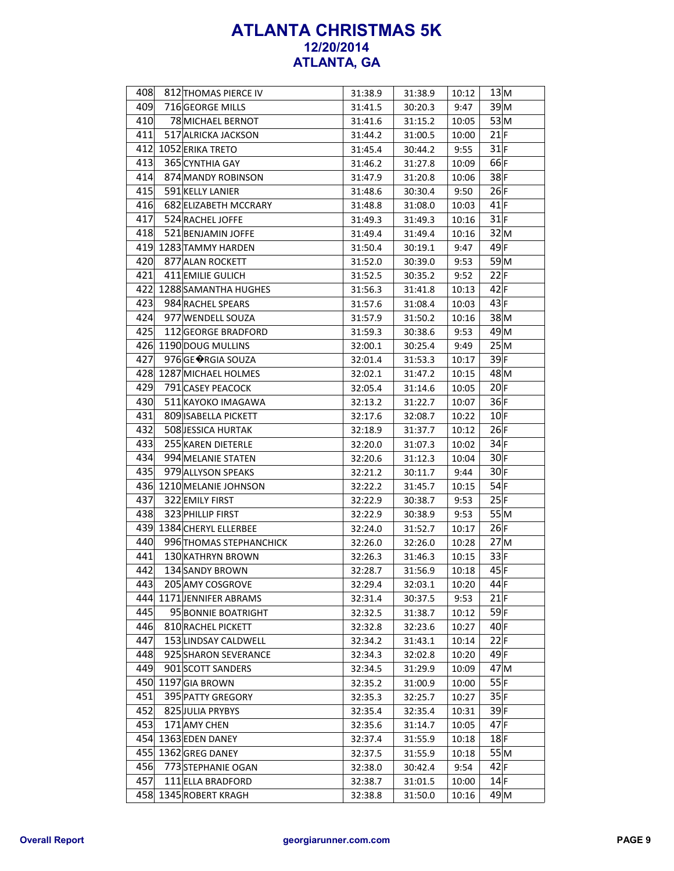| 408 | 812 THOMAS PIERCE IV     | 31:38.9            | 31:38.9 | 10:12          | 13 M            |
|-----|--------------------------|--------------------|---------|----------------|-----------------|
| 409 | 716 GEORGE MILLS         | 31:41.5            | 30:20.3 | 9:47           | 39 M            |
| 410 | 78 MICHAEL BERNOT        | 31:41.6            | 31:15.2 | 10:05          | 53 M            |
| 411 | 517 ALRICKA JACKSON      | 31:44.2            | 31:00.5 | 10:00          | 21 F            |
|     | 412 1052 ERIKA TRETO     | 31:45.4            | 30:44.2 | 9:55           | $31$ F          |
| 413 | 365 CYNTHIA GAY          | 31:46.2            | 31:27.8 | 10:09          | $66$ F          |
| 414 | 874 MANDY ROBINSON       | 31:47.9            | 31:20.8 | 10:06          | $38$ F          |
| 415 | 591 KELLY LANIER         | 31:48.6            | 30:30.4 | 9:50           | 26 F            |
| 416 | 682 ELIZABETH MCCRARY    | 31:48.8            | 31:08.0 | 10:03          | $41$ F          |
| 417 | 524 RACHEL JOFFE         | 31:49.3            | 31:49.3 | 10:16          | $31$ F          |
| 418 | 521 BENJAMIN JOFFE       | 31:49.4            | 31:49.4 | 10:16          | 32 M            |
|     | 419 1283 TAMMY HARDEN    | 31:50.4            | 30:19.1 | 9:47           | $49$ F          |
| 420 | 877 ALAN ROCKETT         | 31:52.0            | 30:39.0 | 9:53           | 59 <sub>M</sub> |
| 421 | 411 EMILIE GULICH        | 31:52.5            | 30:35.2 | 9:52           | 22 F            |
|     | 422 1288 SAMANTHA HUGHES | 31:56.3            | 31:41.8 | 10:13          | 42 F            |
| 423 | 984 RACHEL SPEARS        | 31:57.6            | 31:08.4 | 10:03          | 43 F            |
| 424 | 977 WENDELL SOUZA        | 31:57.9            | 31:50.2 | 10:16          | $38$ M          |
| 425 | 112 GEORGE BRADFORD      | 31:59.3            | 30:38.6 | 9:53           | 49 <sub>M</sub> |
|     | 426 1190 DOUG MULLINS    | 32:00.1            | 30:25.4 | 9:49           | 25 M            |
| 427 | 976 GE ♦ RGIA SOUZA      | 32:01.4            | 31:53.3 | 10:17          | $39$ F          |
|     | 428 1287 MICHAEL HOLMES  | 32:02.1            | 31:47.2 | 10:15          | $48$ M          |
| 429 | 791 CASEY PEACOCK        | 32:05.4            | 31:14.6 | 10:05          | 20 F            |
| 430 | 511 KAYOKO IMAGAWA       | 32:13.2            | 31:22.7 | 10:07          | 36 F            |
| 431 | 809 ISABELLA PICKETT     | 32:17.6            | 32:08.7 | 10:22          | 10 F            |
| 432 | 508 JESSICA HURTAK       | 32:18.9            | 31:37.7 | 10:12          | 26 F            |
| 433 | 255 KAREN DIETERLE       | 32:20.0            | 31:07.3 | 10:02          | $34$ F          |
| 434 | 994 MELANIE STATEN       | 32:20.6            | 31:12.3 | 10:04          | $30$ F          |
| 435 | 979 ALLYSON SPEAKS       | 32:21.2            | 30:11.7 | 9:44           | 30 F            |
|     | 436 1210 MELANIE JOHNSON | 32:22.2            | 31:45.7 | 10:15          | $54$ F          |
| 437 | 322 EMILY FIRST          | 32:22.9            | 30:38.7 | 9:53           | 25 F            |
| 438 | 323 PHILLIP FIRST        | 32:22.9            | 30:38.9 | 9:53           | 55M             |
|     | 439 1384 CHERYL ELLERBEE | 32:24.0            | 31:52.7 | 10:17          | 26 F            |
| 440 | 996 THOMAS STEPHANCHICK  | 32:26.0            | 32:26.0 | 10:28          | 27M             |
| 441 | 130 KATHRYN BROWN        | 32:26.3            | 31:46.3 | 10:15          | 33 F            |
| 442 | 134 SANDY BROWN          | 32:28.7            | 31:56.9 | 10:18          | 45 F            |
| 443 | 205 AMY COSGROVE         | 32:29.4            | 32:03.1 | 10:20          | $44$ F          |
| 444 | 1171 JENNIFER ABRAMS     | 32:31.4            | 30:37.5 | 9:53           | $21$ F          |
| 445 | 95 BONNIE BOATRIGHT      | 32:32.5            | 31:38.7 |                | $59$ F          |
| 446 | 810 RACHEL PICKETT       |                    | 32:23.6 | 10:12<br>10:27 | $40$ F          |
| 447 | 153 LINDSAY CALDWELL     | 32:32.8<br>32:34.2 |         | 10:14          | 22 F            |
| 448 | 925 SHARON SEVERANCE     |                    | 31:43.1 |                | 49 F            |
| 449 |                          | 32:34.3            | 32:02.8 | 10:20          | 47 <sub>M</sub> |
|     | 901 SCOTT SANDERS        | 32:34.5            | 31:29.9 | 10:09          | 55 F            |
|     | 450 1197 GIA BROWN       | 32:35.2            | 31:00.9 | 10:00          |                 |
| 451 | 395 PATTY GREGORY        | 32:35.3            | 32:25.7 | 10:27          | 35 F            |
| 452 | 825 JULIA PRYBYS         | 32:35.4            | 32:35.4 | 10:31          | $39$ F          |
| 453 | 171 AMY CHEN             | 32:35.6            | 31:14.7 | 10:05          | $47$ F          |
| 454 | 1363 EDEN DANEY          | 32:37.4            | 31:55.9 | 10:18          | $18$ F          |
| 455 | 1362 GREG DANEY          | 32:37.5            | 31:55.9 | 10:18          | 55M             |
| 456 | 773 STEPHANIE OGAN       | 32:38.0            | 30:42.4 | 9:54           | 42 F            |
| 457 | 111 ELLA BRADFORD        | 32:38.7            | 31:01.5 | 10:00          | $14$ F          |
|     | 458 1345 ROBERT KRAGH    | 32:38.8            | 31:50.0 | 10:16          | $49$ M          |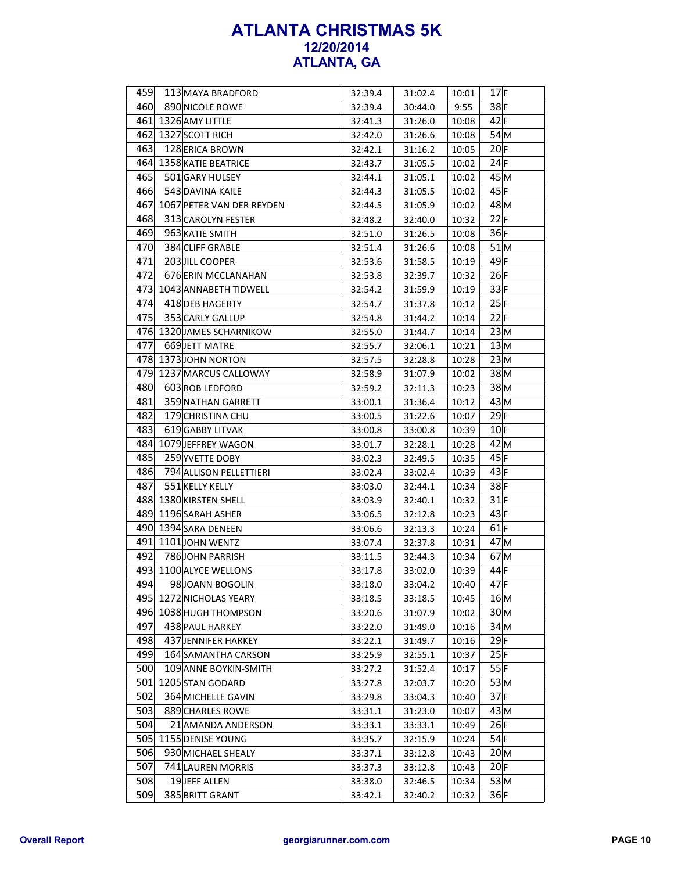| 459 | 113 MAYA BRADFORD         | 32:39.4 | 31:02.4            | 10:01          | $17$ F          |
|-----|---------------------------|---------|--------------------|----------------|-----------------|
| 460 | 890 NICOLE ROWE           | 32:39.4 | 30:44.0            | 9:55           | $38$ F          |
|     | 461 1326 AMY LITTLE       | 32:41.3 | 31:26.0            | 10:08          | $42$ F          |
|     | 462 1327 SCOTT RICH       | 32:42.0 | 31:26.6            | 10:08          | $54$ M          |
| 463 | 128 ERICA BROWN           | 32:42.1 | 31:16.2            | 10:05          | 20 F            |
|     | 464 1358 KATIE BEATRICE   | 32:43.7 | 31:05.5            | 10:02          | 24 F            |
| 465 | 501 GARY HULSEY           | 32:44.1 | 31:05.1            | 10:02          | 45M             |
| 466 | 543 DAVINA KAILE          | 32:44.3 | 31:05.5            | 10:02          | 45 F            |
| 467 | 1067 PETER VAN DER REYDEN | 32:44.5 | 31:05.9            | 10:02          | 48 <sub>M</sub> |
| 468 | 313 CAROLYN FESTER        | 32:48.2 | 32:40.0            | 10:32          | 22 F            |
| 469 | 963 KATIE SMITH           | 32:51.0 | 31:26.5            | 10:08          | 36 F            |
| 470 | 384 CLIFF GRABLE          | 32:51.4 | 31:26.6            | 10:08          | 51M             |
| 471 | 203 JILL COOPER           | 32:53.6 | 31:58.5            | 10:19          | $49$ F          |
| 472 | 676 ERIN MCCLANAHAN       | 32:53.8 | 32:39.7            | 10:32          | 26 F            |
|     | 473 1043 ANNABETH TIDWELL | 32:54.2 | 31:59.9            | 10:19          | 33 F            |
| 474 | 418 DEB HAGERTY           | 32:54.7 | 31:37.8            | 10:12          | 25 F            |
| 475 | 353 CARLY GALLUP          | 32:54.8 | 31:44.2            | 10:14          | 22 F            |
|     | 476 1320 JAMES SCHARNIKOW | 32:55.0 | 31:44.7            | 10:14          | 23 M            |
| 477 | 669 JETT MATRE            | 32:55.7 | 32:06.1            | 10:21          | 13 M            |
|     | 478 1373 JOHN NORTON      | 32:57.5 | 32:28.8            | 10:28          | 23 M            |
|     | 479 1237 MARCUS CALLOWAY  | 32:58.9 | 31:07.9            | 10:02          | $38$ M          |
| 480 | 603 ROB LEDFORD           | 32:59.2 | 32:11.3            | 10:23          | $38$ M          |
| 481 | 359 NATHAN GARRETT        | 33:00.1 | 31:36.4            | 10:12          | 43 M            |
| 482 | 179 CHRISTINA CHU         | 33:00.5 | 31:22.6            | 10:07          | $29$ F          |
| 483 | 619 GABBY LITVAK          | 33:00.8 | 33:00.8            | 10:39          | $10$ F          |
|     | 484 1079 JEFFREY WAGON    | 33:01.7 | 32:28.1            | 10:28          | $42$ M          |
| 485 | 259 YVETTE DOBY           | 33:02.3 | 32:49.5            | 10:35          | 45 F            |
| 486 | 794 ALLISON PELLETTIERI   | 33:02.4 | 33:02.4            | 10:39          | 43 F            |
| 487 | 551 KELLY KELLY           | 33:03.0 | 32:44.1            | 10:34          | $38$ F          |
|     | 488 1380 KIRSTEN SHELL    | 33:03.9 | 32:40.1            | 10:32          | $31$ F          |
|     | 489 1196 SARAH ASHER      | 33:06.5 |                    | 10:23          | 43 F            |
|     | 490 1394 SARA DENEEN      |         | 32:12.8            |                | $61$ F          |
|     | 491 1101 JOHN WENTZ       | 33:06.6 | 32:13.3<br>32:37.8 | 10:24          | 47 <sub>M</sub> |
| 492 | 786 JOHN PARRISH          | 33:07.4 | 32:44.3            | 10:31<br>10:34 | $67$ M          |
|     | 493 1100 ALYCE WELLONS    | 33:11.5 |                    |                | $44$ F          |
| 494 |                           | 33:17.8 | 33:02.0            | 10:39          | $47$ F          |
|     | 98 JOANN BOGOLIN          | 33:18.0 | 33:04.2            | 10:40          |                 |
|     | 495 1272 NICHOLAS YEARY   | 33:18.5 | 33:18.5            | 10:45          | 16 M            |
|     | 496 1038 HUGH THOMPSON    | 33:20.6 | 31:07.9            | 10:02          | 30 M            |
| 497 | 438 PAUL HARKEY           | 33:22.0 | 31:49.0            | 10:16          | 34 <sub>M</sub> |
| 498 | 437 JENNIFER HARKEY       | 33:22.1 | 31:49.7            | 10:16          | $29$ F          |
| 499 | 164 SAMANTHA CARSON       | 33:25.9 | 32:55.1            | 10:37          | 25 F            |
| 500 | 109 ANNE BOYKIN-SMITH     | 33:27.2 | 31:52.4            | 10:17          | 55 F            |
|     | 501 1205 STAN GODARD      | 33:27.8 | 32:03.7            | 10:20          | 53 M            |
| 502 | 364 MICHELLE GAVIN        | 33:29.8 | 33:04.3            | 10:40          | $37$ F          |
| 503 | 889 CHARLES ROWE          | 33:31.1 | 31:23.0            | 10:07          | $43\vert M$     |
| 504 | 21 AMANDA ANDERSON        | 33:33.1 | 33:33.1            | 10:49          | 26 F            |
| 505 | 1155 DENISE YOUNG         | 33:35.7 | 32:15.9            | 10:24          | 54 F            |
| 506 | 930 MICHAEL SHEALY        | 33:37.1 | 33:12.8            | 10:43          | $20\vert M$     |
| 507 | 741 LAUREN MORRIS         | 33:37.3 | 33:12.8            | 10:43          | 20 F            |
| 508 | 19JEFF ALLEN              | 33:38.0 | 32:46.5            | 10:34          | 53 M            |
| 509 | 385 BRITT GRANT           | 33:42.1 | 32:40.2            | 10:32          | 36 F            |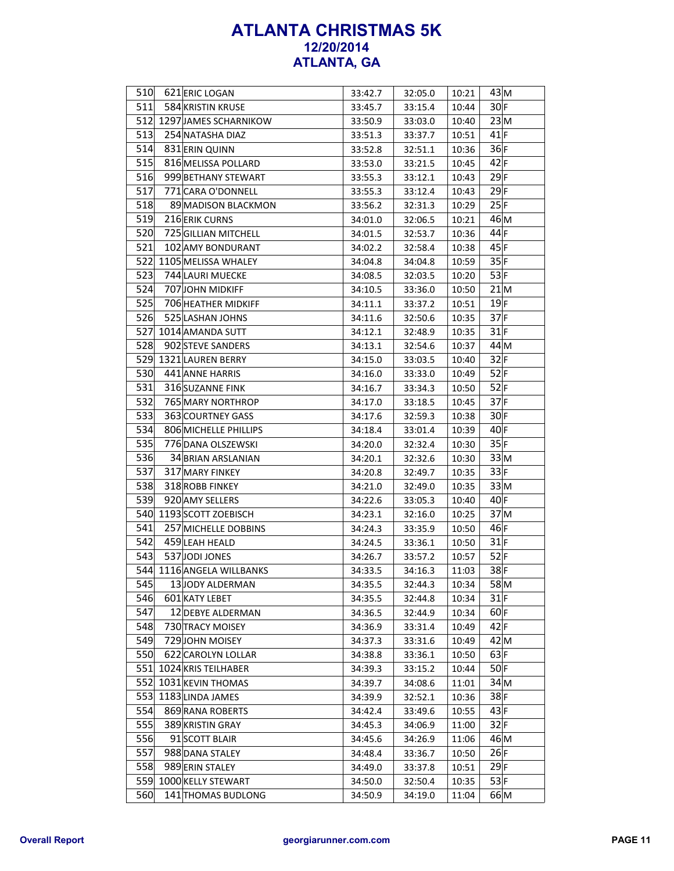| 510 | 621 ERIC LOGAN            | 33:42.7 | 32:05.0 | 10:21          | 43 M            |
|-----|---------------------------|---------|---------|----------------|-----------------|
| 511 | 584 KRISTIN KRUSE         | 33:45.7 | 33:15.4 | 10:44          | 30 F            |
|     | 512 1297 JAMES SCHARNIKOW | 33:50.9 | 33:03.0 | 10:40          | 23 M            |
| 513 | 254 NATASHA DIAZ          | 33:51.3 | 33:37.7 | 10:51          | $41$ F          |
| 514 | 831 ERIN QUINN            | 33:52.8 | 32:51.1 | 10:36          | 36 F            |
| 515 | 816 MELISSA POLLARD       | 33:53.0 | 33:21.5 | 10:45          | 42 F            |
| 516 | 999 BETHANY STEWART       | 33:55.3 | 33:12.1 | 10:43          | 29 F            |
| 517 | 771 CARA O'DONNELL        | 33:55.3 | 33:12.4 | 10:43          | $29$ F          |
| 518 | 89 MADISON BLACKMON       | 33:56.2 | 32:31.3 | 10:29          | 25 F            |
| 519 | 216 ERIK CURNS            | 34:01.0 | 32:06.5 | 10:21          | 46 M            |
| 520 | 725 GILLIAN MITCHELL      | 34:01.5 | 32:53.7 | 10:36          | 44 F            |
| 521 | 102 AMY BONDURANT         | 34:02.2 | 32:58.4 | 10:38          | 45 F            |
|     | 522 1105 MELISSA WHALEY   | 34:04.8 | 34:04.8 | 10:59          | 35 F            |
| 523 | 744 LAURI MUECKE          | 34:08.5 | 32:03.5 | 10:20          | 53 F            |
| 524 | 707 JOHN MIDKIFF          | 34:10.5 | 33:36.0 | 10:50          | 21M             |
| 525 | 706 HEATHER MIDKIFF       | 34:11.1 | 33:37.2 | 10:51          | $19$ F          |
| 526 | 525 LASHAN JOHNS          | 34:11.6 | 32:50.6 | 10:35          | $37$ F          |
|     | 527 1014 AMANDA SUTT      | 34:12.1 | 32:48.9 | 10:35          | $31$ F          |
| 528 | 902 STEVE SANDERS         | 34:13.1 | 32:54.6 | 10:37          | 44M             |
|     | 529 1321 LAUREN BERRY     | 34:15.0 | 33:03.5 | 10:40          | 32 F            |
| 530 | 441 ANNE HARRIS           | 34:16.0 | 33:33.0 | 10:49          | $52$ F          |
| 531 | 316 SUZANNE FINK          | 34:16.7 | 33:34.3 | 10:50          | 52 F            |
| 532 | 765 MARY NORTHROP         | 34:17.0 | 33:18.5 | 10:45          | $37$ F          |
| 533 | 363 COURTNEY GASS         | 34:17.6 | 32:59.3 | 10:38          | $30$ F          |
| 534 | 806 MICHELLE PHILLIPS     | 34:18.4 | 33:01.4 | 10:39          | $40$ F          |
| 535 | 776 DANA OLSZEWSKI        | 34:20.0 | 32:32.4 | 10:30          | 35 F            |
| 536 | 34 BRIAN ARSLANIAN        | 34:20.1 | 32:32.6 | 10:30          | 33 M            |
| 537 | 317 MARY FINKEY           | 34:20.8 | 32:49.7 | 10:35          | 33 F            |
| 538 | 318 ROBB FINKEY           | 34:21.0 | 32:49.0 | 10:35          | 33 M            |
| 539 | 920 AMY SELLERS           | 34:22.6 | 33:05.3 | 10:40          | $40$ F          |
|     | 540 1193 SCOTT ZOEBISCH   | 34:23.1 | 32:16.0 | 10:25          | 37 <sub>M</sub> |
| 541 | 257 MICHELLE DOBBINS      | 34:24.3 |         | 10:50          | 46 F            |
| 542 | 459 LEAH HEALD            |         | 33:35.9 |                | $31$ F          |
| 543 | 537JODI JONES             | 34:24.5 | 33:36.1 | 10:50<br>10:57 | $52$ F          |
|     | 544 1116 ANGELA WILLBANKS | 34:26.7 | 33:57.2 |                | $38$ F          |
| 545 |                           | 34:33.5 | 34:16.3 | 11:03          | $58$ M          |
|     | 13JODY ALDERMAN           | 34:35.5 | 32:44.3 | 10:34          |                 |
| 546 | 601 KATY LEBET            | 34:35.5 | 32:44.8 | 10:34          | $31$ F          |
| 547 | 12 DEBYE ALDERMAN         | 34:36.5 | 32:44.9 | 10:34          | $60$ F          |
| 548 | 730 TRACY MOISEY          | 34:36.9 | 33:31.4 | 10:49          | $42$ F          |
| 549 | 729JOHN MOISEY            | 34:37.3 | 33:31.6 | 10:49          | 42 M            |
| 550 | 622 CAROLYN LOLLAR        | 34:38.8 | 33:36.1 | 10:50          | $63$ F          |
|     | 551 1024 KRIS TEILHABER   | 34:39.3 | 33:15.2 | 10:44          | $50$ F          |
|     | 552 1031 KEVIN THOMAS     | 34:39.7 | 34:08.6 | 11:01          | 34 <sub>M</sub> |
|     | 553 1183 LINDA JAMES      | 34:39.9 | 32:52.1 | 10:36          | $38$ F          |
| 554 | 869 RANA ROBERTS          | 34:42.4 | 33:49.6 | 10:55          | 43 F            |
| 555 | 389 KRISTIN GRAY          | 34:45.3 | 34:06.9 | 11:00          | 32 F            |
| 556 | 91 SCOTT BLAIR            | 34:45.6 | 34:26.9 | 11:06          | 46 M            |
| 557 | 988 DANA STALEY           | 34:48.4 | 33:36.7 | 10:50          | 26 F            |
| 558 | 989 ERIN STALEY           | 34:49.0 | 33:37.8 | 10:51          | $29$ F          |
|     | 559 1000 KELLY STEWART    | 34:50.0 | 32:50.4 | 10:35          | 53 F            |
| 560 | 141 THOMAS BUDLONG        | 34:50.9 | 34:19.0 | 11:04          | 66 <sub>M</sub> |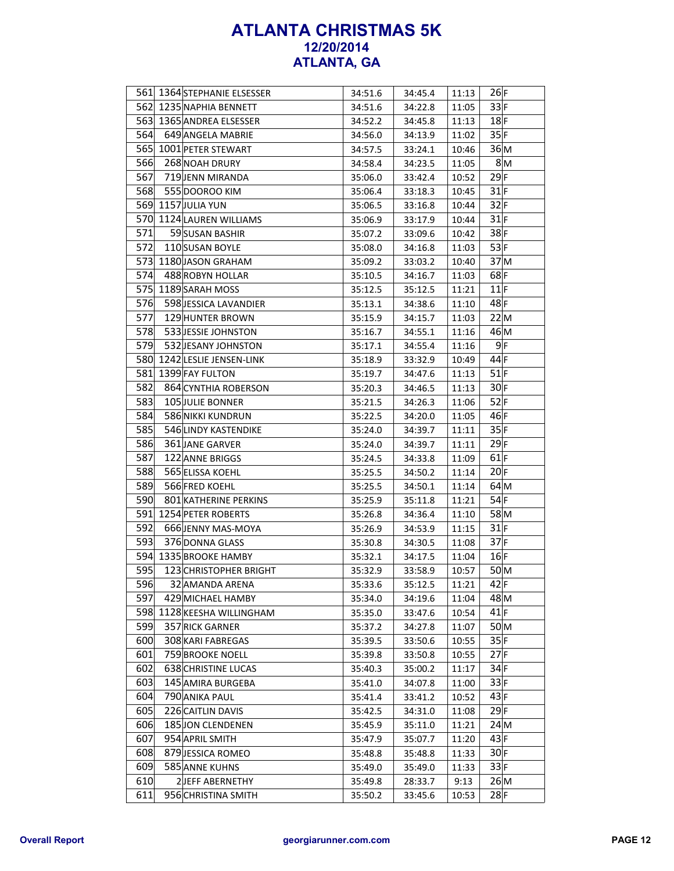|            | 561 1364 STEPHANIE ELSESSER                 | 34:51.6 | 34:45.4 | 11:13          | 26 F            |
|------------|---------------------------------------------|---------|---------|----------------|-----------------|
|            | 562 1235 NAPHIA BENNETT                     | 34:51.6 | 34:22.8 | 11:05          | 33 F            |
|            | 563 1365 ANDREA ELSESSER                    | 34:52.2 | 34:45.8 | 11:13          | $18$ F          |
| 564        | 649 ANGELA MABRIE                           | 34:56.0 | 34:13.9 | 11:02          | 35 F            |
|            | 565 1001 PETER STEWART                      | 34:57.5 | 33:24.1 | 10:46          | 36 M            |
| 566        | 268 NOAH DRURY                              | 34:58.4 | 34:23.5 | 11:05          | 8M              |
| 567        | 719 JENN MIRANDA                            | 35:06.0 | 33:42.4 | 10:52          | $29$ F          |
| 568        | 555 DOOROO KIM                              | 35:06.4 | 33:18.3 | 10:45          | $31$ F          |
|            | 569 1157 JULIA YUN                          | 35:06.5 | 33:16.8 | 10:44          | 32 F            |
|            | 570 1124 LAUREN WILLIAMS                    | 35:06.9 | 33:17.9 | 10:44          | $31$ F          |
| 571        | 59 SUSAN BASHIR                             | 35:07.2 | 33:09.6 | 10:42          | $38$ F          |
| 572        | 110 SUSAN BOYLE                             | 35:08.0 | 34:16.8 | 11:03          | 53 F            |
|            | 573 1180 JASON GRAHAM                       | 35:09.2 | 33:03.2 | 10:40          | 37 <sub>M</sub> |
| 574        | 488 ROBYN HOLLAR                            | 35:10.5 | 34:16.7 | 11:03          | $68$ F          |
|            | 575 1189 SARAH MOSS                         | 35:12.5 | 35:12.5 | 11:21          | $11$ F          |
| 576        | 598 JESSICA LAVANDIER                       | 35:13.1 | 34:38.6 | 11:10          | 48 F            |
| 577        | 129 HUNTER BROWN                            | 35:15.9 | 34:15.7 | 11:03          | 22 M            |
| 578        | 533 JESSIE JOHNSTON                         | 35:16.7 | 34:55.1 | 11:16          | 46 M            |
| 579        | 532 JESANY JOHNSTON                         | 35:17.1 | 34:55.4 | 11:16          | $9$ F           |
|            | 580 1242 LESLIE JENSEN-LINK                 | 35:18.9 | 33:32.9 | 10:49          | $44$ F          |
|            | 581 1399 FAY FULTON                         | 35:19.7 | 34:47.6 | 11:13          | $51$ F          |
| 582        | 864 CYNTHIA ROBERSON                        | 35:20.3 | 34:46.5 | 11:13          | 30 F            |
| 583        | 105 JULIE BONNER                            | 35:21.5 | 34:26.3 | 11:06          | $52$ F          |
| 584        | 586 NIKKI KUNDRUN                           | 35:22.5 | 34:20.0 | 11:05          | 46 F            |
| 585        | 546 LINDY KASTENDIKE                        | 35:24.0 | 34:39.7 | 11:11          | 35 F            |
| 586        | 361 JANE GARVER                             | 35:24.0 | 34:39.7 | 11:11          | $29$ F          |
| 587        | 122 ANNE BRIGGS                             | 35:24.5 | 34:33.8 | 11:09          | $61$ F          |
| 588        | 565 ELISSA KOEHL                            | 35:25.5 | 34:50.2 | 11:14          | 20 F            |
| 589        | 566 FRED KOEHL                              | 35:25.5 | 34:50.1 | 11:14          | $64$ M          |
| 590        | 801 KATHERINE PERKINS                       | 35:25.9 | 35:11.8 | 11:21          | $54$ F          |
| 591        | 1254 PETER ROBERTS                          | 35:26.8 | 34:36.4 | 11:10          | 58 M            |
| 592        | 666 JENNY MAS-MOYA                          |         | 34:53.9 | 11:15          | $31$ F          |
| 593        | 376 DONNA GLASS                             | 35:26.9 |         | 11:08          | $37$ F          |
|            | 594 1335 BROOKE HAMBY                       | 35:30.8 | 34:30.5 |                | 16 F            |
| 595        | 123 CHRISTOPHER BRIGHT                      | 35:32.1 | 34:17.5 | 11:04          | 50 <sub>M</sub> |
|            |                                             | 35:32.9 | 33:58.9 | 10:57<br>11:21 | $42$ F          |
| 596<br>597 | 32 AMANDA ARENA                             | 35:33.6 | 35:12.5 |                | 48 M            |
| 598        | 429 MICHAEL HAMBY<br>1128 KEESHA WILLINGHAM | 35:34.0 | 34:19.6 | 11:04          | $41$ F          |
| 599        |                                             | 35:35.0 | 33:47.6 | 10:54          |                 |
|            | 357 RICK GARNER                             | 35:37.2 | 34:27.8 | 11:07          | 50 M<br>35 F    |
| 600        | 308 KARI FABREGAS                           | 35:39.5 | 33:50.6 | 10:55          |                 |
| 601<br>602 | 759 BROOKE NOELL                            | 35:39.8 | 33:50.8 | 10:55          | 27 F            |
|            | 638 CHRISTINE LUCAS                         | 35:40.3 | 35:00.2 | 11:17          | $34$ F<br>33 F  |
| 603        | 145 AMIRA BURGEBA                           | 35:41.0 | 34:07.8 | 11:00          |                 |
| 604        | 790 ANIKA PAUL                              | 35:41.4 | 33:41.2 | 10:52          | 43 F            |
| 605        | 226 CAITLIN DAVIS                           | 35:42.5 | 34:31.0 | 11:08          | $29$ F          |
| 606        | 185 JON CLENDENEN                           | 35:45.9 | 35:11.0 | 11:21          | 24 <sub>M</sub> |
| 607        | 954 APRIL SMITH                             | 35:47.9 | 35:07.7 | 11:20          | 43 F            |
| 608        | 879 JESSICA ROMEO                           | 35:48.8 | 35:48.8 | 11:33          | 30 F            |
| 609        | 585 ANNE KUHNS                              | 35:49.0 | 35:49.0 | 11:33          | 33 F            |
| 610        | 2JEFF ABERNETHY                             | 35:49.8 | 28:33.7 | 9:13           | 26 M            |
| 611        | 956 CHRISTINA SMITH                         | 35:50.2 | 33:45.6 | 10:53          | $28$ F          |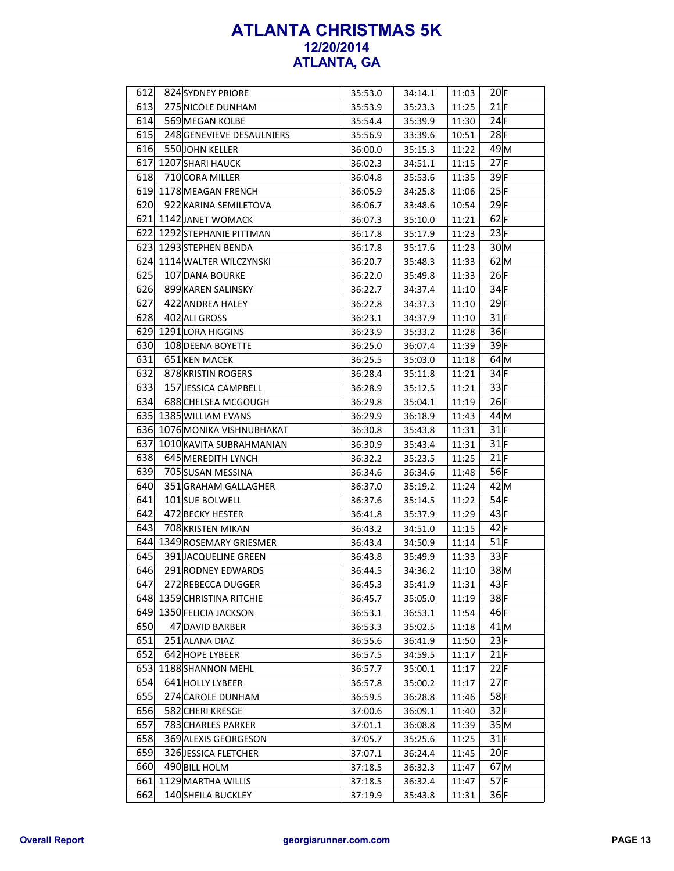| 612 | 824 SYDNEY PRIORE            | 35:53.0 | 34:14.1 | 11:03 | 20 F            |
|-----|------------------------------|---------|---------|-------|-----------------|
| 613 | 275 NICOLE DUNHAM            | 35:53.9 | 35:23.3 | 11:25 | $21$ F          |
| 614 | 569 MEGAN KOLBE              | 35:54.4 | 35:39.9 | 11:30 | 24 F            |
| 615 | 248 GENEVIEVE DESAULNIERS    | 35:56.9 | 33:39.6 | 10:51 | $28$ F          |
| 616 | 550JOHN KELLER               | 36:00.0 | 35:15.3 | 11:22 | 49 M            |
|     | 617 1207 SHARI HAUCK         | 36:02.3 | 34:51.1 | 11:15 | $27$ F          |
| 618 | 710 CORA MILLER              | 36:04.8 | 35:53.6 | 11:35 | $39$ F          |
|     | 619 1178 MEAGAN FRENCH       | 36:05.9 | 34:25.8 | 11:06 | 25 F            |
| 620 | 922 KARINA SEMILETOVA        | 36:06.7 | 33:48.6 | 10:54 | $29$ F          |
|     | 621 1142 JANET WOMACK        | 36:07.3 | 35:10.0 | 11:21 | $62$ F          |
|     | 622 1292 STEPHANIE PITTMAN   | 36:17.8 | 35:17.9 | 11:23 | 23 F            |
|     | 623 1293 STEPHEN BENDA       | 36:17.8 | 35:17.6 | 11:23 | 30 <sub>M</sub> |
|     | 624 1114 WALTER WILCZYNSKI   | 36:20.7 | 35:48.3 | 11:33 | $62$ M          |
| 625 | 107 DANA BOURKE              | 36:22.0 | 35:49.8 | 11:33 | 26 F            |
| 626 | 899 KAREN SALINSKY           | 36:22.7 | 34:37.4 | 11:10 | $34$ F          |
| 627 | 422 ANDREA HALEY             | 36:22.8 | 34:37.3 | 11:10 | $29$ F          |
| 628 | 402 ALI GROSS                | 36:23.1 | 34:37.9 | 11:10 | $31$ F          |
|     | 629 1291 LORA HIGGINS        | 36:23.9 | 35:33.2 | 11:28 | 36 F            |
| 630 | 108 DEENA BOYETTE            | 36:25.0 | 36:07.4 | 11:39 | $39$ F          |
| 631 | 651 KEN MACEK                | 36:25.5 | 35:03.0 | 11:18 | $64$ M          |
| 632 | 878 KRISTIN ROGERS           | 36:28.4 | 35:11.8 | 11:21 | $34$ F          |
| 633 | 157 JESSICA CAMPBELL         | 36:28.9 | 35:12.5 | 11:21 | 33 F            |
| 634 | 688 CHELSEA MCGOUGH          | 36:29.8 | 35:04.1 | 11:19 | 26 F            |
|     | 635 1385 WILLIAM EVANS       | 36:29.9 | 36:18.9 | 11:43 | 44M             |
|     | 636 1076 MONIKA VISHNUBHAKAT | 36:30.8 | 35:43.8 | 11:31 | $31$ F          |
| 637 | 1010 KAVITA SUBRAHMANIAN     | 36:30.9 | 35:43.4 | 11:31 | $31$ F          |
| 638 | 645 MEREDITH LYNCH           | 36:32.2 | 35:23.5 | 11:25 | $21$ F          |
| 639 | 705 SUSAN MESSINA            | 36:34.6 | 36:34.6 | 11:48 | 56 F            |
| 640 | 351 GRAHAM GALLAGHER         |         | 35:19.2 |       | $42$ M          |
| 641 |                              | 36:37.0 |         | 11:24 | $54$ F          |
| 642 | 101 SUE BOLWELL              | 36:37.6 | 35:14.5 | 11:22 | 43 F            |
| 643 | 472 BECKY HESTER             | 36:41.8 | 35:37.9 | 11:29 |                 |
|     | 708 KRISTEN MIKAN            | 36:43.2 | 34:51.0 | 11:15 | 42 F            |
|     | 644 1349 ROSEMARY GRIESMER   | 36:43.4 | 34:50.9 | 11:14 | $51$ F          |
| 645 | 391 JACQUELINE GREEN         | 36:43.8 | 35:49.9 | 11:33 | 33 F            |
| 646 | 291 RODNEY EDWARDS           | 36:44.5 | 34:36.2 | 11:10 | $38$ M          |
| 647 | 272 REBECCA DUGGER           | 36:45.3 | 35:41.9 | 11:31 | 43 F            |
|     | 648 1359 CHRISTINA RITCHIE   | 36:45.7 | 35:05.0 | 11:19 | $38$ F          |
|     | 649 1350 FELICIA JACKSON     | 36:53.1 | 36:53.1 | 11:54 | 46F             |
| 650 | 47 DAVID BARBER              | 36:53.3 | 35:02.5 | 11:18 | $41$ M          |
| 651 | 251 ALANA DIAZ               | 36:55.6 | 36:41.9 | 11:50 | 23 F            |
| 652 | 642 HOPE LYBEER              | 36:57.5 | 34:59.5 | 11:17 | 21 F            |
|     | 653 1188 SHANNON MEHL        | 36:57.7 | 35:00.1 | 11:17 | 22 F            |
| 654 | 641 HOLLY LYBEER             | 36:57.8 | 35:00.2 | 11:17 | $27$ F          |
| 655 | 274 CAROLE DUNHAM            | 36:59.5 | 36:28.8 | 11:46 | $58$ F          |
| 656 | 582 CHERI KRESGE             | 37:00.6 | 36:09.1 | 11:40 | 32 F            |
| 657 | 783 CHARLES PARKER           | 37:01.1 | 36:08.8 | 11:39 | 35 M            |
| 658 | 369 ALEXIS GEORGESON         | 37:05.7 | 35:25.6 | 11:25 | $31$ F          |
| 659 | 326 JESSICA FLETCHER         | 37:07.1 | 36:24.4 | 11:45 | 20 F            |
| 660 | 490 BILL HOLM                | 37:18.5 | 36:32.3 | 11:47 | $67$ M          |
| 661 | 1129 MARTHA WILLIS           | 37:18.5 | 36:32.4 | 11:47 | $57$ F          |
| 662 | 140 SHEILA BUCKLEY           | 37:19.9 | 35:43.8 | 11:31 | 36 F            |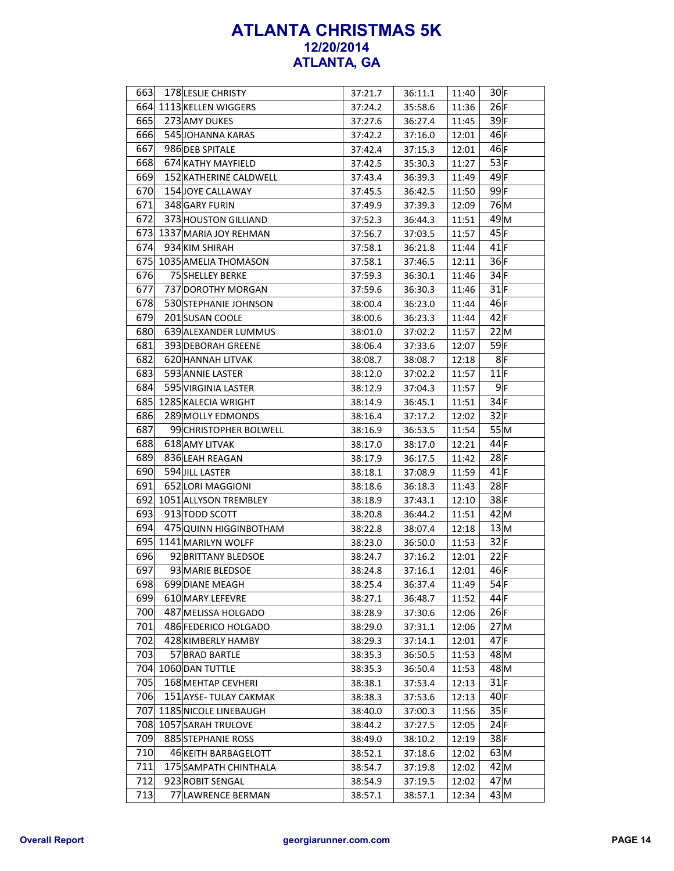| 663 | 178 LESLIE CHRISTY        | 37:21.7 | 36:11.1 | 11:40 | $30$ F          |
|-----|---------------------------|---------|---------|-------|-----------------|
|     | 664 1113 KELLEN WIGGERS   | 37:24.2 | 35:58.6 | 11:36 | 26 F            |
| 665 | 273 AMY DUKES             | 37:27.6 | 36:27.4 | 11:45 | $39$ F          |
| 666 | 545 JOHANNA KARAS         | 37:42.2 | 37:16.0 | 12:01 | $46$ F          |
| 667 | 986 DEB SPITALE           | 37:42.4 | 37:15.3 | 12:01 | $46$ F          |
| 668 | 674 KATHY MAYFIELD        | 37:42.5 | 35:30.3 | 11:27 | 53 F            |
| 669 | 152 KATHERINE CALDWELL    | 37:43.4 | 36:39.3 | 11:49 | $49$ F          |
| 670 | 154 JOYE CALLAWAY         | 37:45.5 | 36:42.5 | 11:50 | 99 F            |
| 671 | 348 GARY FURIN            | 37:49.9 | 37:39.3 | 12:09 | 76 M            |
| 672 | 373 HOUSTON GILLIAND      | 37:52.3 | 36:44.3 | 11:51 | 49 M            |
|     | 673 1337 MARIA JOY REHMAN | 37:56.7 | 37:03.5 | 11:57 | 45 F            |
| 674 | 934 KIM SHIRAH            | 37:58.1 | 36:21.8 | 11:44 | $41$ F          |
|     | 675 1035 AMELIA THOMASON  | 37:58.1 | 37:46.5 | 12:11 | 36 F            |
| 676 | 75 SHELLEY BERKE          | 37:59.3 | 36:30.1 | 11:46 | 34 F            |
| 677 | 737 DOROTHY MORGAN        | 37:59.6 | 36:30.3 | 11:46 | $31$ F          |
| 678 | 530 STEPHANIE JOHNSON     | 38:00.4 | 36:23.0 | 11:44 | $46$ F          |
| 679 | 201 SUSAN COOLE           | 38:00.6 | 36:23.3 | 11:44 | $42$ F          |
| 680 | 639 ALEXANDER LUMMUS      | 38:01.0 | 37:02.2 | 11:57 | 22 M            |
| 681 | 393 DEBORAH GREENE        | 38:06.4 | 37:33.6 | 12:07 | 59F             |
| 682 | 620 HANNAH LITVAK         | 38:08.7 | 38:08.7 | 12:18 | 8 F             |
| 683 | 593 ANNIE LASTER          | 38:12.0 | 37:02.2 | 11:57 | $11$ F          |
| 684 | 595 VIRGINIA LASTER       | 38:12.9 | 37:04.3 | 11:57 | 9 F             |
| 685 | 1285 KALECIA WRIGHT       | 38:14.9 | 36:45.1 | 11:51 | $34$ F          |
| 686 | 289 MOLLY EDMONDS         | 38:16.4 | 37:17.2 | 12:02 | 32 F            |
| 687 | 99 CHRISTOPHER BOLWELL    | 38:16.9 | 36:53.5 | 11:54 | 55 M            |
| 688 | 618 AMY LITVAK            | 38:17.0 | 38:17.0 | 12:21 | 44 F            |
| 689 | 836 LEAH REAGAN           | 38:17.9 | 36:17.5 | 11:42 | $28$ F          |
| 690 | 594 JILL LASTER           | 38:18.1 | 37:08.9 | 11:59 | $41$ F          |
| 691 | 652 LORI MAGGIONI         |         |         |       | $28$ F          |
|     | 692 1051 ALLYSON TREMBLEY | 38:18.6 | 36:18.3 | 11:43 | $38$ F          |
| 693 |                           | 38:18.9 | 37:43.1 | 12:10 | $42$ M          |
|     | 913 TODD SCOTT            | 38:20.8 | 36:44.2 | 11:51 |                 |
| 694 | 475 QUINN HIGGINBOTHAM    | 38:22.8 | 38:07.4 | 12:18 | 13 M            |
|     | 695 1141 MARILYN WOLFF    | 38:23.0 | 36:50.0 | 11:53 | 32 F            |
| 696 | 92 BRITTANY BLEDSOE       | 38:24.7 | 37:16.2 | 12:01 | 22 F            |
| 697 | 93 MARIE BLEDSOE          | 38:24.8 | 37:16.1 | 12:01 | $46$ F          |
| 698 | 699 DIANE MEAGH           | 38:25.4 | 36:37.4 | 11:49 | $54$ F          |
| 699 | 610 MARY LEFEVRE          | 38:27.1 | 36:48.7 | 11:52 | 44 F            |
| 700 | 487 MELISSA HOLGADO       | 38:28.9 | 37:30.6 | 12:06 | 26 F            |
| 701 | 486 FEDERICO HOLGADO      | 38:29.0 | 37:31.1 | 12:06 | 27 M            |
| 702 | 428 KIMBERLY HAMBY        | 38:29.3 | 37:14.1 | 12:01 | $47$ F          |
| 703 | 57 BRAD BARTLE            | 38:35.3 | 36:50.5 | 11:53 | 48 M            |
|     | 704 1060 DAN TUTTLE       | 38:35.3 | 36:50.4 | 11:53 | 48 M            |
| 705 | 168 MEHTAP CEVHERI        | 38:38.1 | 37:53.4 | 12:13 | $31$ F          |
| 706 | 151 AYSE-TULAY CAKMAK     | 38:38.3 | 37:53.6 | 12:13 | 40 F            |
| 707 | 1185 NICOLE LINEBAUGH     | 38:40.0 | 37:00.3 | 11:56 | 35 F            |
|     | 708 1057 SARAH TRULOVE    | 38:44.2 | 37:27.5 | 12:05 | 24 F            |
| 709 | 885 STEPHANIE ROSS        | 38:49.0 | 38:10.2 | 12:19 | 38F             |
| 710 | 46 KEITH BARBAGELOTT      | 38:52.1 | 37:18.6 | 12:02 | $63 \, M$       |
| 711 | 175 SAMPATH CHINTHALA     | 38:54.7 | 37:19.8 | 12:02 | $42 \vert M$    |
| 712 | 923 ROBIT SENGAL          | 38:54.9 | 37:19.5 | 12:02 | 47 <sub>M</sub> |
| 713 | 77 LAWRENCE BERMAN        | 38:57.1 | 38:57.1 | 12:34 | $43 \vert M$    |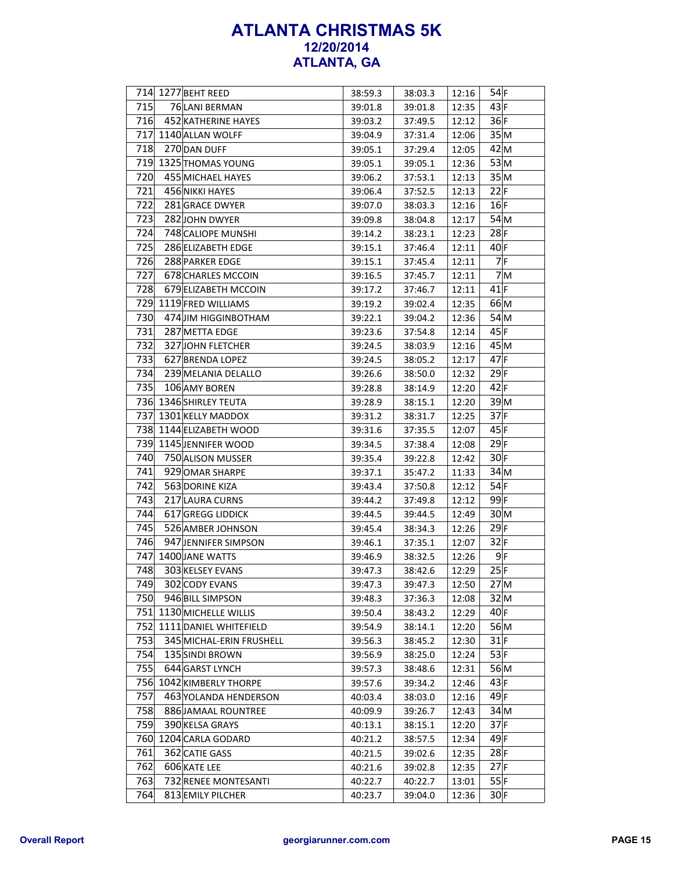|     | 714 1277 BEHT REED       | 38:59.3 | 38:03.3 | 12:16 | $54$ F          |
|-----|--------------------------|---------|---------|-------|-----------------|
| 715 | 76 LANI BERMAN           | 39:01.8 | 39:01.8 | 12:35 | 43 F            |
| 716 | 452 KATHERINE HAYES      | 39:03.2 | 37:49.5 | 12:12 | 36 F            |
|     | 717 1140 ALLAN WOLFF     | 39:04.9 | 37:31.4 | 12:06 | 35 M            |
| 718 | 270 DAN DUFF             | 39:05.1 | 37:29.4 | 12:05 | 42 M            |
|     | 719 1325 THOMAS YOUNG    | 39:05.1 | 39:05.1 | 12:36 | $53\text{M}$    |
| 720 | 455 MICHAEL HAYES        | 39:06.2 | 37:53.1 | 12:13 | 35 M            |
| 721 | 456 NIKKI HAYES          | 39:06.4 | 37:52.5 | 12:13 | 22 F            |
| 722 | 281 GRACE DWYER          | 39:07.0 | 38:03.3 | 12:16 | 16 F            |
| 723 | 282 JOHN DWYER           | 39:09.8 | 38:04.8 | 12:17 | 54 M            |
| 724 | 748 CALIOPE MUNSHI       | 39:14.2 | 38:23.1 | 12:23 | $28$ F          |
| 725 | 286 ELIZABETH EDGE       | 39:15.1 | 37:46.4 | 12:11 | $40$ F          |
| 726 | 288 PARKER EDGE          | 39:15.1 | 37:45.4 | 12:11 | 7 F             |
| 727 | 678 CHARLES MCCOIN       | 39:16.5 | 37:45.7 | 12:11 | 7 <sub>M</sub>  |
| 728 | 679 ELIZABETH MCCOIN     | 39:17.2 | 37:46.7 | 12:11 | $41$ F          |
|     | 729 1119 FRED WILLIAMS   | 39:19.2 | 39:02.4 | 12:35 | 66 M            |
| 730 | 474 JIM HIGGINBOTHAM     | 39:22.1 | 39:04.2 | 12:36 | $54$ M          |
| 731 | 287 METTA EDGE           | 39:23.6 | 37:54.8 | 12:14 | 45 F            |
| 732 | <b>327JOHN FLETCHER</b>  | 39:24.5 | 38:03.9 | 12:16 | 45M             |
| 733 | 627 BRENDA LOPEZ         | 39:24.5 | 38:05.2 | 12:17 | $47$ F          |
| 734 | 239 MELANIA DELALLO      | 39:26.6 | 38:50.0 | 12:32 | $29$ F          |
| 735 | 106 AMY BOREN            | 39:28.8 | 38:14.9 | 12:20 | $42$ F          |
|     | 736 1346 SHIRLEY TEUTA   | 39:28.9 | 38:15.1 | 12:20 | 39 M            |
|     | 737 1301 KELLY MADDOX    | 39:31.2 | 38:31.7 | 12:25 | $37$ F          |
|     | 738 1144 ELIZABETH WOOD  | 39:31.6 | 37:35.5 | 12:07 | $45$ F          |
|     | 739 1145 JENNIFER WOOD   | 39:34.5 | 37:38.4 | 12:08 | $29$ F          |
| 740 | 750 ALISON MUSSER        | 39:35.4 | 39:22.8 | 12:42 | 30 F            |
| 741 | 929 OMAR SHARPE          | 39:37.1 | 35:47.2 | 11:33 | 34 <sub>M</sub> |
| 742 | 563 DORINE KIZA          | 39:43.4 | 37:50.8 | 12:12 | $54$ F          |
| 743 | 217 LAURA CURNS          | 39:44.2 | 37:49.8 | 12:12 | $99$ F          |
| 744 | 617 GREGG LIDDICK        | 39:44.5 | 39:44.5 | 12:49 | 30 <sub>M</sub> |
| 745 | 526 AMBER JOHNSON        | 39:45.4 | 38:34.3 | 12:26 | $29$ F          |
| 746 | 947 JENNIFER SIMPSON     | 39:46.1 | 37:35.1 | 12:07 | 32 F            |
|     | 747 1400 JANE WATTS      | 39:46.9 | 38:32.5 | 12:26 | 9 F             |
| 748 | 303 KELSEY EVANS         | 39:47.3 | 38:42.6 | 12:29 | 25 F            |
| 749 | 302 CODY EVANS           | 39:47.3 | 39:47.3 | 12:50 | 27M             |
| 750 | 946 BILL SIMPSON         | 39:48.3 | 37:36.3 | 12:08 | 32 M            |
|     | 751 1130 MICHELLE WILLIS | 39:50.4 | 38:43.2 | 12:29 | $40$ F          |
| 752 | 1111 DANIEL WHITEFIELD   | 39:54.9 | 38:14.1 | 12:20 | 56 M            |
| 753 | 345 MICHAL-ERIN FRUSHELL | 39:56.3 | 38:45.2 | 12:30 | $31$ F          |
| 754 | 135 SINDI BROWN          | 39:56.9 | 38:25.0 | 12:24 | 53 F            |
| 755 | 644 GARST LYNCH          | 39:57.3 | 38:48.6 | 12:31 | 56 M            |
|     | 756 1042 KIMBERLY THORPE | 39:57.6 | 39:34.2 | 12:46 | 43 F            |
| 757 | 463 YOLANDA HENDERSON    | 40:03.4 | 38:03.0 | 12:16 | $49$ F          |
| 758 | 886 JAMAAL ROUNTREE      | 40:09.9 | 39:26.7 | 12:43 | 34 M            |
| 759 | 390 KELSA GRAYS          | 40:13.1 | 38:15.1 | 12:20 | 37 F            |
| 760 | 1204 CARLA GODARD        | 40:21.2 | 38:57.5 | 12:34 | $49$ F          |
| 761 | 362 CATIE GASS           | 40:21.5 | 39:02.6 | 12:35 | $28$ F          |
| 762 | 606 KATE LEE             | 40:21.6 | 39:02.8 | 12:35 | $27$ F          |
| 763 | 732 RENEE MONTESANTI     | 40:22.7 | 40:22.7 | 13:01 | 55 F            |
| 764 | 813 EMILY PILCHER        | 40:23.7 | 39:04.0 | 12:36 | 30 F            |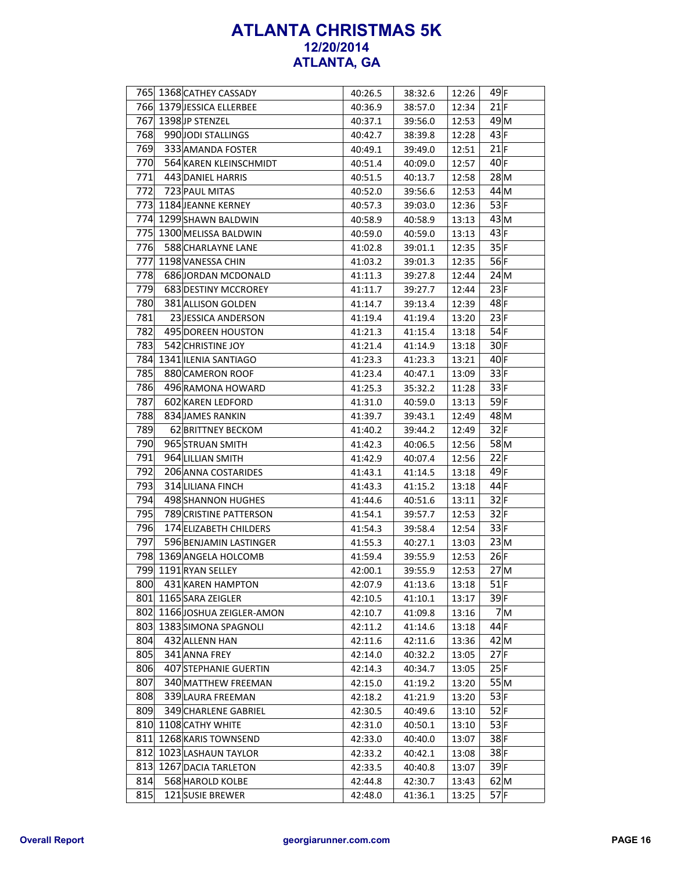|     |                                                      |                    |                    |                | $49$ F          |
|-----|------------------------------------------------------|--------------------|--------------------|----------------|-----------------|
|     | 765 1368 CATHEY CASSADY<br>766 1379 JESSICA ELLERBEE | 40:26.5<br>40:36.9 | 38:32.6<br>38:57.0 | 12:26<br>12:34 | 21 F            |
|     | 767 1398 JP STENZEL                                  |                    |                    |                | 49M             |
|     |                                                      | 40:37.1            | 39:56.0            | 12:53          |                 |
| 768 | 990 JODI STALLINGS                                   | 40:42.7            | 38:39.8            | 12:28          | 43 F            |
| 769 | 333 AMANDA FOSTER                                    | 40:49.1            | 39:49.0            | 12:51          | $21$ F          |
| 770 | 564 KAREN KLEINSCHMIDT                               | 40:51.4            | 40:09.0            | 12:57          | $40$ F          |
| 771 | 443 DANIEL HARRIS                                    | 40:51.5            | 40:13.7            | 12:58          | $28$ M          |
| 772 | 723 PAUL MITAS                                       | 40:52.0            | 39:56.6            | 12:53          | 44 M            |
| 773 | 1184 JEANNE KERNEY                                   | 40:57.3            | 39:03.0            | 12:36          | 53 F            |
|     | 774 1299 SHAWN BALDWIN                               | 40:58.9            | 40:58.9            | 13:13          | $43 \, M$       |
|     | 775 1300 MELISSA BALDWIN                             | 40:59.0            | 40:59.0            | 13:13          | 43 F            |
| 776 | 588 CHARLAYNE LANE                                   | 41:02.8            | 39:01.1            | 12:35          | 35 F            |
| 777 | 1198 VANESSA CHIN                                    | 41:03.2            | 39:01.3            | 12:35          | 56 F            |
| 778 | 686 JORDAN MCDONALD                                  | 41:11.3            | 39:27.8            | 12:44          | 24M             |
| 779 | 683 DESTINY MCCROREY                                 | 41:11.7            | 39:27.7            | 12:44          | 23 F            |
| 780 | 381 ALLISON GOLDEN                                   | 41:14.7            | 39:13.4            | 12:39          | $48$ F          |
| 781 | 23 JESSICA ANDERSON                                  | 41:19.4            | 41:19.4            | 13:20          | 23 F            |
| 782 | 495 DOREEN HOUSTON                                   | 41:21.3            | 41:15.4            | 13:18          | 54 F            |
| 783 | 542 CHRISTINE JOY                                    | 41:21.4            | 41:14.9            | 13:18          | $30$ F          |
|     | 784 1341 ILENIA SANTIAGO                             | 41:23.3            | 41:23.3            | 13:21          | $40$ F          |
| 785 | 880 CAMERON ROOF                                     | 41:23.4            | 40:47.1            | 13:09          | 33 F            |
| 786 | 496 RAMONA HOWARD                                    | 41:25.3            | 35:32.2            | 11:28          | 33 F            |
| 787 | 602 KAREN LEDFORD                                    | 41:31.0            | 40:59.0            | 13:13          | $59$ F          |
| 788 | 834 JAMES RANKIN                                     | 41:39.7            | 39:43.1            | 12:49          | 48 M            |
| 789 | 62 BRITTNEY BECKOM                                   | 41:40.2            | 39:44.2            | 12:49          | 32 F            |
| 790 | 965 STRUAN SMITH                                     | 41:42.3            | 40:06.5            | 12:56          | $58$ M          |
| 791 | 964 LILLIAN SMITH                                    | 41:42.9            | 40:07.4            | 12:56          | 22 F            |
| 792 | 206 ANNA COSTARIDES                                  |                    | 41:14.5            |                | 49 F            |
| 793 | 314 LILIANA FINCH                                    | 41:43.1            |                    | 13:18          | 44 F            |
| 794 |                                                      | 41:43.3            | 41:15.2            | 13:18          |                 |
|     | 498 SHANNON HUGHES                                   | 41:44.6            | 40:51.6            | 13:11          | 32 F            |
| 795 | 789 CRISTINE PATTERSON                               | 41:54.1            | 39:57.7            | 12:53          | 32 F            |
| 796 | 174 ELIZABETH CHILDERS                               | 41:54.3            | 39:58.4            | 12:54          | 33 F            |
| 797 | 596 BENJAMIN LASTINGER                               | 41:55.3            | 40:27.1            | 13:03          | 23 M            |
|     | 798 1369 ANGELA HOLCOMB                              | 41:59.4            | 39:55.9            | 12:53          | 26 F            |
|     | 799 1191 RYAN SELLEY                                 | 42:00.1            | 39:55.9            | 12:53          | 27 <sub>M</sub> |
| 800 | 431 KAREN HAMPTON                                    | 42:07.9            | 41:13.6            | 13:18          | $51$ F          |
|     | 801 1165 SARA ZEIGLER                                | 42:10.5            | 41:10.1            | 13:17          | $39$ F          |
|     | 802 1166 JOSHUA ZEIGLER-AMON                         | 42:10.7            | 41:09.8            | 13:16          | 7M              |
|     | 803 1383 SIMONA SPAGNOLI                             | 42:11.2            | 41:14.6            | 13:18          | 44 F            |
| 804 | 432 ALLENN HAN                                       | 42:11.6            | 42:11.6            | 13:36          | 42 M            |
| 805 | 341 ANNA FREY                                        | 42:14.0            | 40:32.2            | 13:05          | $27$ F          |
| 806 | 407 STEPHANIE GUERTIN                                | 42:14.3            | 40:34.7            | 13:05          | 25 F            |
| 807 | 340 MATTHEW FREEMAN                                  | 42:15.0            | 41:19.2            | 13:20          | 55M             |
| 808 | 339 LAURA FREEMAN                                    | 42:18.2            | 41:21.9            | 13:20          | 53 F            |
| 809 | 349 CHARLENE GABRIEL                                 | 42:30.5            | 40:49.6            | 13:10          | 52 F            |
|     | 810 1108 CATHY WHITE                                 | 42:31.0            | 40:50.1            | 13:10          | 53 F            |
| 811 | 1268 KARIS TOWNSEND                                  | 42:33.0            | 40:40.0            | 13:07          | 38F             |
| 812 | 1023 LASHAUN TAYLOR                                  | 42:33.2            | 40:42.1            | 13:08          | 38F             |
|     | 813 1267 DACIA TARLETON                              | 42:33.5            | 40:40.8            | 13:07          | $39$ F          |
| 814 | 568 HAROLD KOLBE                                     | 42:44.8            | 42:30.7            | 13:43          | $62$ M          |
| 815 | 121 SUSIE BREWER                                     | 42:48.0            | 41:36.1            | 13:25          | $57$ F          |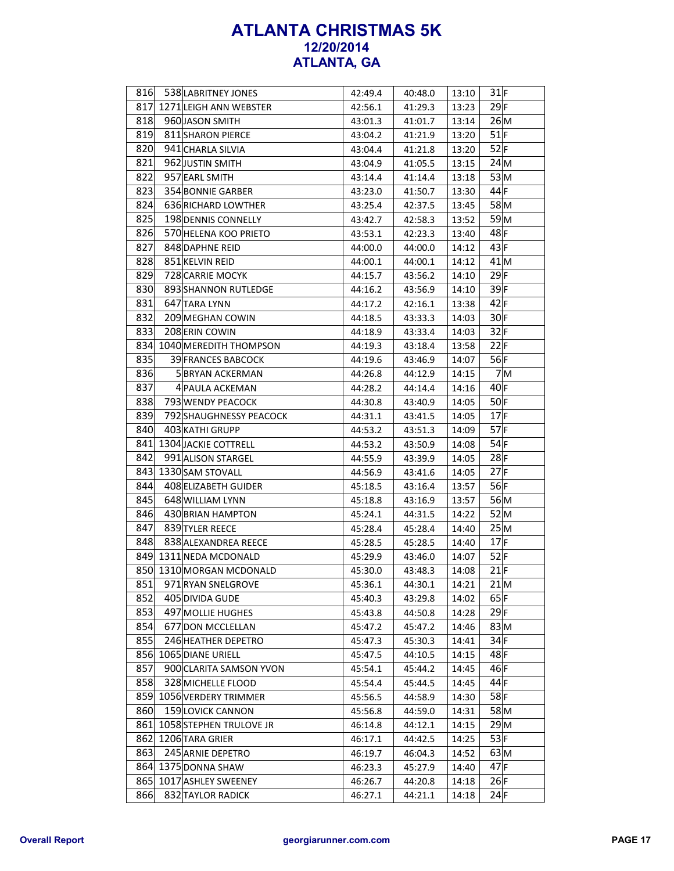| 816 | 538 LABRITNEY JONES         | 42:49.4 | 40:48.0 | 13:10 | $31$ F          |
|-----|-----------------------------|---------|---------|-------|-----------------|
|     | 817 1271 LEIGH ANN WEBSTER  | 42:56.1 | 41:29.3 | 13:23 | $29$ F          |
| 818 | 960 JASON SMITH             | 43:01.3 | 41:01.7 | 13:14 | 26 M            |
| 819 | 811 SHARON PIERCE           | 43:04.2 | 41:21.9 | 13:20 | $51$ F          |
| 820 | 941 CHARLA SILVIA           | 43:04.4 | 41:21.8 | 13:20 | $52$ F          |
| 821 | 962 JUSTIN SMITH            | 43:04.9 | 41:05.5 | 13:15 | 24M             |
| 822 | 957 EARL SMITH              | 43:14.4 | 41:14.4 | 13:18 | 53 M            |
| 823 | 354 BONNIE GARBER           | 43:23.0 | 41:50.7 | 13:30 | 44 F            |
| 824 | 636 RICHARD LOWTHER         | 43:25.4 | 42:37.5 | 13:45 | 58 M            |
| 825 | 198 DENNIS CONNELLY         | 43:42.7 | 42:58.3 | 13:52 | 59 <sub>M</sub> |
| 826 | 570 HELENA KOO PRIETO       | 43:53.1 | 42:23.3 | 13:40 | 48 F            |
| 827 | 848 DAPHNE REID             | 44:00.0 | 44:00.0 | 14:12 | 43 F            |
| 828 | 851 KELVIN REID             | 44:00.1 | 44:00.1 | 14:12 | $41$ M          |
| 829 | 728 CARRIE MOCYK            | 44:15.7 | 43:56.2 | 14:10 | $29$ F          |
| 830 | 893 SHANNON RUTLEDGE        | 44:16.2 | 43:56.9 | 14:10 | $39$ F          |
| 831 | 647 TARA LYNN               | 44:17.2 | 42:16.1 | 13:38 | $42$ F          |
| 832 | 209 MEGHAN COWIN            | 44:18.5 | 43:33.3 | 14:03 | $30$ F          |
| 833 | 208 ERIN COWIN              | 44:18.9 | 43:33.4 | 14:03 | 32 F            |
|     | 834 1040 MEREDITH THOMPSON  | 44:19.3 | 43:18.4 | 13:58 | 22 F            |
| 835 | 39 FRANCES BABCOCK          | 44:19.6 | 43:46.9 | 14:07 | $56$ F          |
| 836 | <b>5 BRYAN ACKERMAN</b>     | 44:26.8 | 44:12.9 | 14:15 | 7M              |
| 837 | 4 PAULA ACKEMAN             | 44:28.2 | 44:14.4 | 14:16 | $40$ F          |
| 838 | 793 WENDY PEACOCK           | 44:30.8 | 43:40.9 | 14:05 | $50$ F          |
| 839 | 792 SHAUGHNESSY PEACOCK     | 44:31.1 | 43:41.5 | 14:05 | $17$ F          |
| 840 | 403 KATHI GRUPP             | 44:53.2 | 43:51.3 | 14:09 | 57 F            |
|     | 841 1304 JACKIE COTTRELL    | 44:53.2 | 43:50.9 | 14:08 | 54 F            |
| 842 | 991 ALISON STARGEL          | 44:55.9 | 43:39.9 | 14:05 | $28$ F          |
|     | 843 1330 SAM STOVALL        | 44:56.9 | 43:41.6 | 14:05 | $27$ F          |
| 844 | 408 ELIZABETH GUIDER        | 45:18.5 | 43:16.4 | 13:57 | 56 F            |
| 845 | 648 WILLIAM LYNN            |         |         |       | 56 M            |
| 846 | 430 BRIAN HAMPTON           | 45:18.8 | 43:16.9 | 13:57 | $52$ M          |
| 847 | 839 TYLER REECE             | 45:24.1 | 44:31.5 | 14:22 | 25M             |
| 848 | 838 ALEXANDREA REECE        | 45:28.4 | 45:28.4 | 14:40 | $17$ F          |
|     |                             | 45:28.5 | 45:28.5 | 14:40 |                 |
|     | 849 1311 NEDA MCDONALD      | 45:29.9 | 43:46.0 | 14:07 | $52$ F          |
|     | 850 1310 MORGAN MCDONALD    | 45:30.0 | 43:48.3 | 14:08 | $21$ F          |
| 851 | 971 RYAN SNELGROVE          | 45:36.1 | 44:30.1 | 14:21 | $21$ M          |
| 852 | 405 DIVIDA GUDE             | 45:40.3 | 43:29.8 | 14:02 | $65$ F          |
| 853 | 497 MOLLIE HUGHES           | 45:43.8 | 44:50.8 | 14:28 | $29$ F          |
| 854 | 677 DON MCCLELLAN           | 45:47.2 | 45:47.2 | 14:46 | 83 M            |
| 855 | 246 HEATHER DEPETRO         | 45:47.3 | 45:30.3 | 14:41 | $34$ F          |
|     | 856 1065 DIANE URIELL       | 45:47.5 | 44:10.5 | 14:15 | 48F             |
| 857 | 900 CLARITA SAMSON YVON     | 45:54.1 | 45:44.2 | 14:45 | 46 F            |
| 858 | 328 MICHELLE FLOOD          | 45:54.4 | 45:44.5 | 14:45 | 44 F            |
|     | 859 1056 VERDERY TRIMMER    | 45:56.5 | 44:58.9 | 14:30 | $58$ F          |
| 860 | 159 LOVICK CANNON           | 45:56.8 | 44:59.0 | 14:31 | 58 M            |
|     | 861 1058 STEPHEN TRULOVE JR | 46:14.8 | 44:12.1 | 14:15 | 29 M            |
|     | 862 1206 TARA GRIER         | 46:17.1 | 44:42.5 | 14:25 | 53 F            |
| 863 | 245 ARNIE DEPETRO           | 46:19.7 | 46:04.3 | 14:52 | $63 \vert M$    |
|     | 864 1375 DONNA SHAW         | 46:23.3 | 45:27.9 | 14:40 | $47$ F          |
|     | 865 1017 ASHLEY SWEENEY     | 46:26.7 | 44:20.8 | 14:18 | 26 F            |
| 866 | 832 TAYLOR RADICK           | 46:27.1 | 44:21.1 | 14:18 | 24 F            |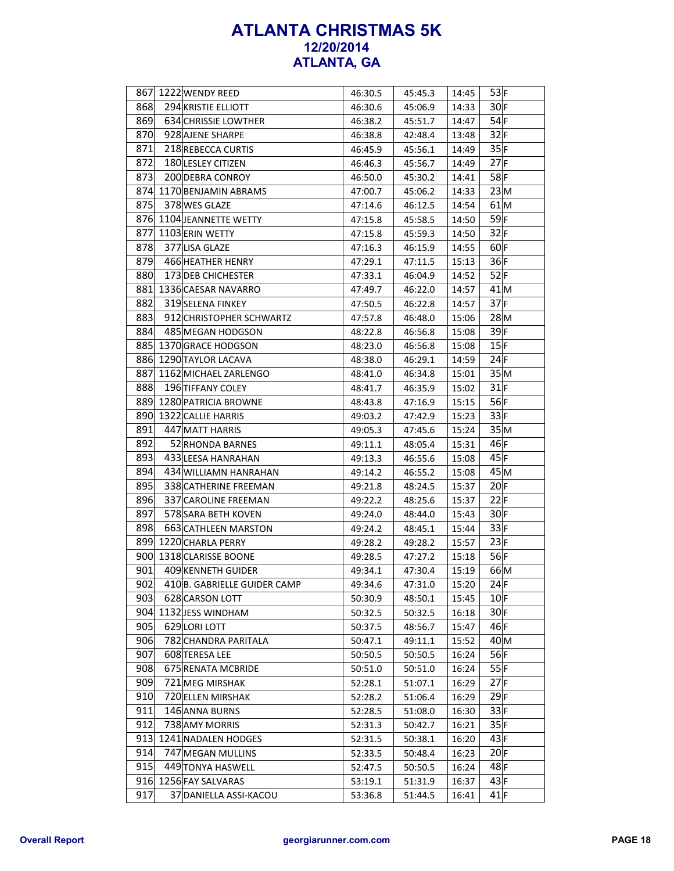|     | 867 1222 WENDY REED         | 46:30.5 | 45:45.3 | 14:45 | 53 F   |
|-----|-----------------------------|---------|---------|-------|--------|
| 868 | 294 KRISTIE ELLIOTT         | 46:30.6 | 45:06.9 | 14:33 | $30$ F |
| 869 | 634 CHRISSIE LOWTHER        | 46:38.2 | 45:51.7 | 14:47 | $54$ F |
| 870 | 928 AJENE SHARPE            | 46:38.8 | 42:48.4 | 13:48 | 32 F   |
| 871 | 218 REBECCA CURTIS          | 46:45.9 | 45:56.1 | 14:49 | 35 F   |
| 872 | 180 LESLEY CITIZEN          | 46:46.3 | 45:56.7 | 14:49 | $27$ F |
| 873 | 200 DEBRA CONROY            | 46:50.0 | 45:30.2 | 14:41 | $58$ F |
|     | 874 1170 BENJAMIN ABRAMS    | 47:00.7 | 45:06.2 | 14:33 | 23 M   |
| 875 | 378 WES GLAZE               | 47:14.6 | 46:12.5 | 14:54 | $61$ M |
|     | 876 1104 JEANNETTE WETTY    | 47:15.8 | 45:58.5 | 14:50 | 59F    |
| 877 | 1103 ERIN WETTY             | 47:15.8 | 45:59.3 | 14:50 | 32 F   |
| 878 | 377 LISA GLAZE              | 47:16.3 | 46:15.9 | 14:55 | 60 F   |
| 879 | 466 HEATHER HENRY           | 47:29.1 | 47:11.5 | 15:13 | 36 F   |
| 880 | 173 DEB CHICHESTER          | 47:33.1 | 46:04.9 | 14:52 | $52$ F |
| 881 | 1336 CAESAR NAVARRO         | 47:49.7 | 46:22.0 | 14:57 | $41$ M |
| 882 | 319 SELENA FINKEY           | 47:50.5 | 46:22.8 | 14:57 | $37$ F |
| 883 | 912 CHRISTOPHER SCHWARTZ    | 47:57.8 | 46:48.0 | 15:06 | 28 M   |
| 884 | 485 MEGAN HODGSON           | 48:22.8 | 46:56.8 | 15:08 | $39$ F |
|     | 885 1370 GRACE HODGSON      | 48:23.0 | 46:56.8 | 15:08 | 15 F   |
|     | 886 1290 TAYLOR LACAVA      | 48:38.0 | 46:29.1 | 14:59 | 24 F   |
|     | 887 1162 MICHAEL ZARLENGO   | 48:41.0 | 46:34.8 | 15:01 | 35 M   |
| 888 | 196 TIFFANY COLEY           | 48:41.7 | 46:35.9 | 15:02 | $31$ F |
|     | 889 1280 PATRICIA BROWNE    | 48:43.8 | 47:16.9 | 15:15 | $56$ F |
| 890 | 1322 CALLIE HARRIS          | 49:03.2 | 47:42.9 | 15:23 | 33 F   |
| 891 | 447 MATT HARRIS             | 49:05.3 | 47:45.6 | 15:24 | 35 M   |
| 892 | 52 RHONDA BARNES            | 49:11.1 | 48:05.4 | 15:31 | 46 F   |
| 893 | 433 LEESA HANRAHAN          | 49:13.3 | 46:55.6 | 15:08 | 45 F   |
| 894 | 434 WILLIAMN HANRAHAN       | 49:14.2 | 46:55.2 | 15:08 | 45M    |
| 895 | 338 CATHERINE FREEMAN       | 49:21.8 | 48:24.5 | 15:37 | 20 F   |
| 896 | 337 CAROLINE FREEMAN        | 49:22.2 | 48:25.6 | 15:37 | 22 F   |
| 897 | 578 SARA BETH KOVEN         | 49:24.0 | 48:44.0 | 15:43 | 30 F   |
| 898 | 663 CATHLEEN MARSTON        | 49:24.2 | 48:45.1 | 15:44 | 33 F   |
|     | 899 1220 CHARLA PERRY       | 49:28.2 | 49:28.2 | 15:57 | 23 F   |
|     | 900 1318 CLARISSE BOONE     | 49:28.5 | 47:27.2 | 15:18 | 56 F   |
| 901 | 409 KENNETH GUIDER          | 49:34.1 | 47:30.4 | 15:19 | 66M    |
| 902 | 410B. GABRIELLE GUIDER CAMP | 49:34.6 | 47:31.0 | 15:20 | $24$ F |
| 903 | 628 CARSON LOTT             | 50:30.9 | 48:50.1 | 15:45 | $10$ F |
|     | 904 1132 JESS WINDHAM       | 50:32.5 | 50:32.5 | 16:18 | $30$ F |
| 905 | 629LORI LOTT                | 50:37.5 | 48:56.7 | 15:47 | 46F    |
| 906 | 782 CHANDRA PARITALA        | 50:47.1 | 49:11.1 | 15:52 | 40 M   |
| 907 | 608 TERESA LEE              | 50:50.5 | 50:50.5 | 16:24 | $56$ F |
| 908 | 675 RENATA MCBRIDE          | 50:51.0 | 50:51.0 | 16:24 | 55 F   |
| 909 | 721 MEG MIRSHAK             | 52:28.1 | 51:07.1 | 16:29 | $27$ F |
| 910 | 720 ELLEN MIRSHAK           | 52:28.2 | 51:06.4 | 16:29 | $29$ F |
| 911 | 146 ANNA BURNS              | 52:28.5 | 51:08.0 | 16:30 | 33 F   |
| 912 | 738 AMY MORRIS              | 52:31.3 | 50:42.7 | 16:21 | 35 F   |
| 913 | 1241 NADALEN HODGES         | 52:31.5 | 50:38.1 | 16:20 | 43 F   |
| 914 | 747 MEGAN MULLINS           | 52:33.5 | 50:48.4 | 16:23 | 20 F   |
| 915 | 449 TONYA HASWELL           | 52:47.5 | 50:50.5 | 16:24 | $48$ F |
| 916 | 1256 FAY SALVARAS           | 53:19.1 | 51:31.9 | 16:37 | 43 F   |
| 917 | 37 DANIELLA ASSI-KACOU      | 53:36.8 | 51:44.5 | 16:41 | $41$ F |